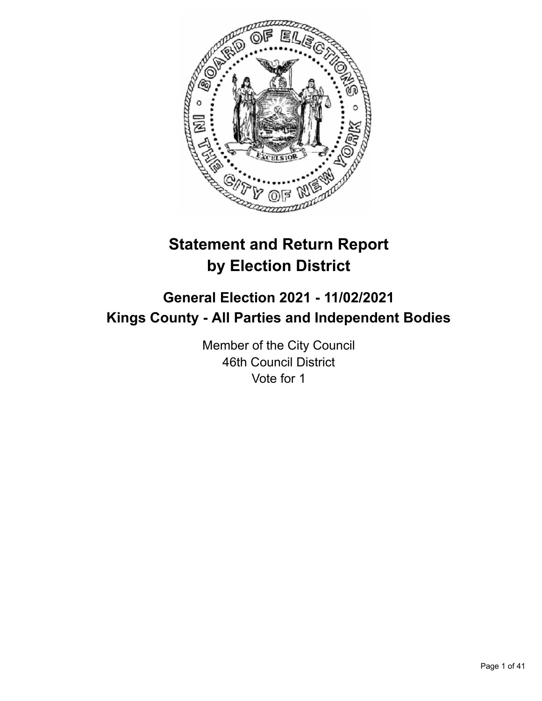

# **Statement and Return Report by Election District**

# **General Election 2021 - 11/02/2021 Kings County - All Parties and Independent Bodies**

Member of the City Council 46th Council District Vote for 1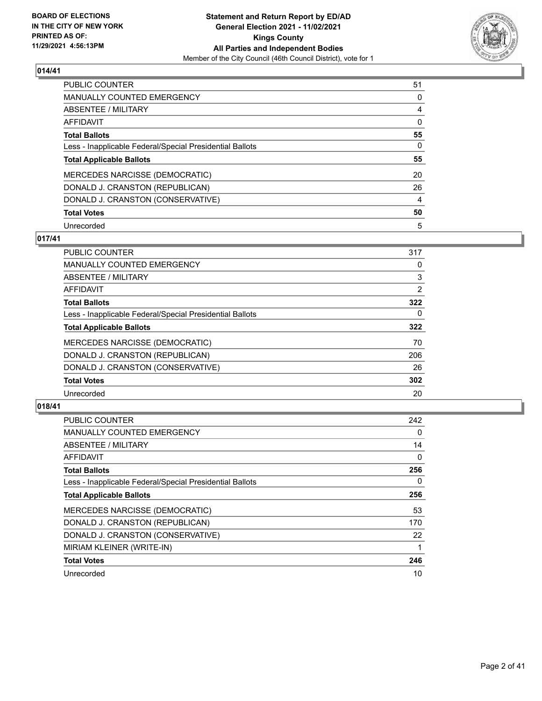

| <b>PUBLIC COUNTER</b>                                    | 51 |
|----------------------------------------------------------|----|
| <b>MANUALLY COUNTED EMERGENCY</b>                        | 0  |
| ABSENTEE / MILITARY                                      | 4  |
| AFFIDAVIT                                                | 0  |
| <b>Total Ballots</b>                                     | 55 |
| Less - Inapplicable Federal/Special Presidential Ballots | 0  |
| <b>Total Applicable Ballots</b>                          | 55 |
| MERCEDES NARCISSE (DEMOCRATIC)                           | 20 |
| DONALD J. CRANSTON (REPUBLICAN)                          | 26 |
| DONALD J. CRANSTON (CONSERVATIVE)                        | 4  |
| <b>Total Votes</b>                                       | 50 |
| Unrecorded                                               | 5  |

## **017/41**

| <b>PUBLIC COUNTER</b>                                    | 317      |
|----------------------------------------------------------|----------|
| <b>MANUALLY COUNTED EMERGENCY</b>                        | 0        |
| ABSENTEE / MILITARY                                      | 3        |
| <b>AFFIDAVIT</b>                                         | 2        |
| <b>Total Ballots</b>                                     | 322      |
| Less - Inapplicable Federal/Special Presidential Ballots | $\Omega$ |
| <b>Total Applicable Ballots</b>                          | 322      |
| MERCEDES NARCISSE (DEMOCRATIC)                           | 70       |
| DONALD J. CRANSTON (REPUBLICAN)                          | 206      |
| DONALD J. CRANSTON (CONSERVATIVE)                        | 26       |
| <b>Total Votes</b>                                       | 302      |
| Unrecorded                                               | 20       |

| <b>PUBLIC COUNTER</b>                                    | 242      |
|----------------------------------------------------------|----------|
| MANUALLY COUNTED EMERGENCY                               | 0        |
| ABSENTEE / MILITARY                                      | 14       |
| AFFIDAVIT                                                | $\Omega$ |
| <b>Total Ballots</b>                                     | 256      |
| Less - Inapplicable Federal/Special Presidential Ballots | 0        |
| <b>Total Applicable Ballots</b>                          | 256      |
| MERCEDES NARCISSE (DEMOCRATIC)                           | 53       |
| DONALD J. CRANSTON (REPUBLICAN)                          | 170      |
| DONALD J. CRANSTON (CONSERVATIVE)                        | 22       |
| MIRIAM KLEINER (WRITE-IN)                                |          |
| <b>Total Votes</b>                                       | 246      |
| Unrecorded                                               | 10       |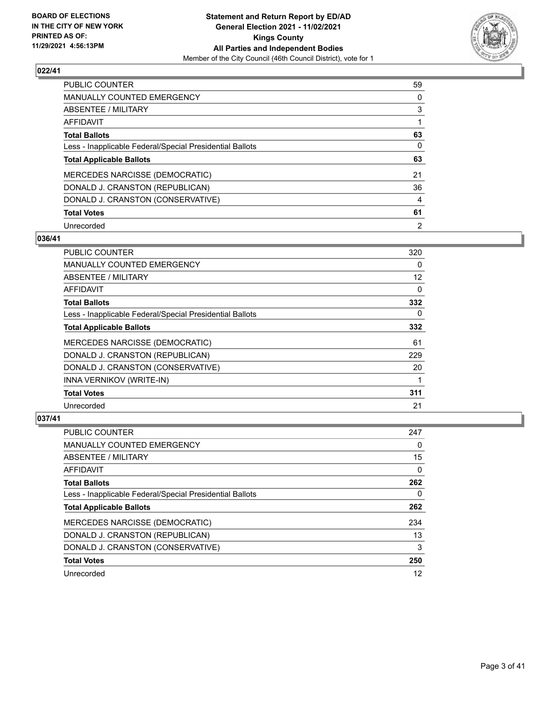

| PUBLIC COUNTER                                           | 59             |
|----------------------------------------------------------|----------------|
| MANUALLY COUNTED EMERGENCY                               | 0              |
| ABSENTEE / MILITARY                                      | 3              |
| AFFIDAVIT                                                |                |
| <b>Total Ballots</b>                                     | 63             |
| Less - Inapplicable Federal/Special Presidential Ballots | $\Omega$       |
| <b>Total Applicable Ballots</b>                          | 63             |
| MERCEDES NARCISSE (DEMOCRATIC)                           | 21             |
| DONALD J. CRANSTON (REPUBLICAN)                          | 36             |
| DONALD J. CRANSTON (CONSERVATIVE)                        | 4              |
| <b>Total Votes</b>                                       | 61             |
| Unrecorded                                               | $\overline{2}$ |

#### **036/41**

| PUBLIC COUNTER                                           | 320      |
|----------------------------------------------------------|----------|
| <b>MANUALLY COUNTED EMERGENCY</b>                        | $\Omega$ |
| ABSENTEE / MILITARY                                      | 12       |
| AFFIDAVIT                                                | 0        |
| <b>Total Ballots</b>                                     | 332      |
| Less - Inapplicable Federal/Special Presidential Ballots | 0        |
| <b>Total Applicable Ballots</b>                          | 332      |
| MERCEDES NARCISSE (DEMOCRATIC)                           | 61       |
| DONALD J. CRANSTON (REPUBLICAN)                          | 229      |
| DONALD J. CRANSTON (CONSERVATIVE)                        | 20       |
| INNA VERNIKOV (WRITE-IN)                                 |          |
| <b>Total Votes</b>                                       | 311      |
| Unrecorded                                               | 21       |

| PUBLIC COUNTER                                           | 247 |
|----------------------------------------------------------|-----|
| <b>MANUALLY COUNTED EMERGENCY</b>                        | 0   |
| ABSENTEE / MILITARY                                      | 15  |
| AFFIDAVIT                                                | 0   |
| <b>Total Ballots</b>                                     | 262 |
| Less - Inapplicable Federal/Special Presidential Ballots | 0   |
| <b>Total Applicable Ballots</b>                          | 262 |
| <b>MERCEDES NARCISSE (DEMOCRATIC)</b>                    | 234 |
| DONALD J. CRANSTON (REPUBLICAN)                          | 13  |
| DONALD J. CRANSTON (CONSERVATIVE)                        | 3   |
| <b>Total Votes</b>                                       | 250 |
| Unrecorded                                               | 12  |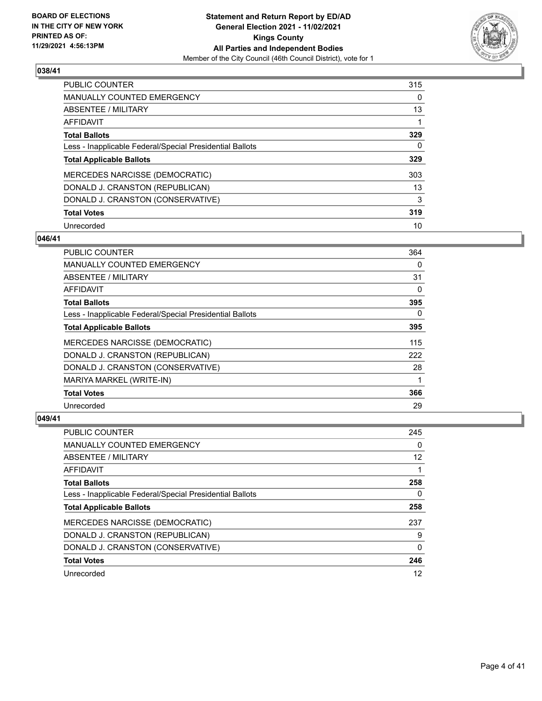

| <b>PUBLIC COUNTER</b>                                    | 315      |
|----------------------------------------------------------|----------|
| <b>MANUALLY COUNTED EMERGENCY</b>                        | $\Omega$ |
| ABSENTEE / MILITARY                                      | 13       |
| AFFIDAVIT                                                |          |
| <b>Total Ballots</b>                                     | 329      |
| Less - Inapplicable Federal/Special Presidential Ballots | 0        |
| <b>Total Applicable Ballots</b>                          | 329      |
| MERCEDES NARCISSE (DEMOCRATIC)                           | 303      |
| DONALD J. CRANSTON (REPUBLICAN)                          | 13       |
| DONALD J. CRANSTON (CONSERVATIVE)                        | 3        |
| <b>Total Votes</b>                                       | 319      |
| Unrecorded                                               | 10       |

#### **046/41**

| <b>PUBLIC COUNTER</b>                                    | 364      |
|----------------------------------------------------------|----------|
| MANUALLY COUNTED EMERGENCY                               | $\Omega$ |
| ABSENTEE / MILITARY                                      | 31       |
| <b>AFFIDAVIT</b>                                         | $\Omega$ |
| <b>Total Ballots</b>                                     | 395      |
| Less - Inapplicable Federal/Special Presidential Ballots | $\Omega$ |
| <b>Total Applicable Ballots</b>                          | 395      |
| <b>MERCEDES NARCISSE (DEMOCRATIC)</b>                    | 115      |
| DONALD J. CRANSTON (REPUBLICAN)                          | 222      |
| DONALD J. CRANSTON (CONSERVATIVE)                        | 28       |
| MARIYA MARKEL (WRITE-IN)                                 |          |
| <b>Total Votes</b>                                       | 366      |
| Unrecorded                                               | 29       |

| PUBLIC COUNTER                                           | 245               |
|----------------------------------------------------------|-------------------|
| <b>MANUALLY COUNTED EMERGENCY</b>                        | 0                 |
| <b>ABSENTEE / MILITARY</b>                               | $12 \overline{ }$ |
| AFFIDAVIT                                                |                   |
| <b>Total Ballots</b>                                     | 258               |
| Less - Inapplicable Federal/Special Presidential Ballots | 0                 |
| <b>Total Applicable Ballots</b>                          | 258               |
| <b>MERCEDES NARCISSE (DEMOCRATIC)</b>                    | 237               |
| DONALD J. CRANSTON (REPUBLICAN)                          | 9                 |
| DONALD J. CRANSTON (CONSERVATIVE)                        | 0                 |
| <b>Total Votes</b>                                       | 246               |
| Unrecorded                                               | 12                |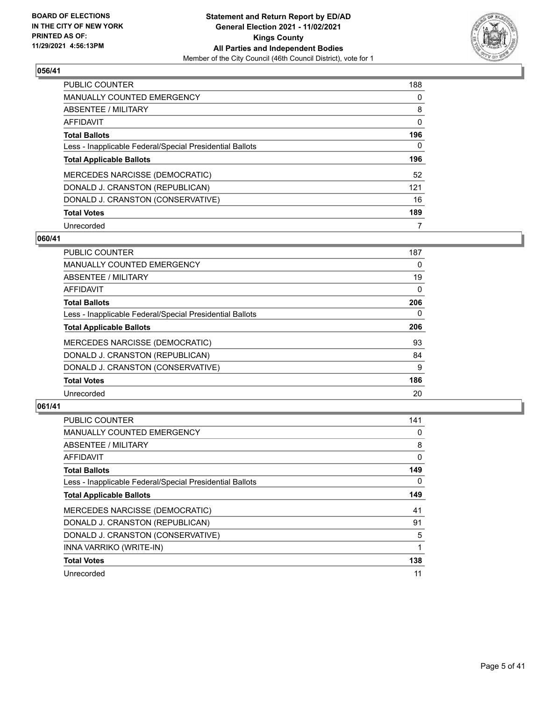

| <b>PUBLIC COUNTER</b>                                    | 188      |
|----------------------------------------------------------|----------|
| <b>MANUALLY COUNTED EMERGENCY</b>                        | $\Omega$ |
| ABSENTEE / MILITARY                                      | 8        |
| AFFIDAVIT                                                | $\Omega$ |
| <b>Total Ballots</b>                                     | 196      |
| Less - Inapplicable Federal/Special Presidential Ballots | 0        |
| <b>Total Applicable Ballots</b>                          | 196      |
| MERCEDES NARCISSE (DEMOCRATIC)                           | 52       |
| DONALD J. CRANSTON (REPUBLICAN)                          | 121      |
| DONALD J. CRANSTON (CONSERVATIVE)                        | 16       |
| <b>Total Votes</b>                                       | 189      |
| Unrecorded                                               |          |

#### **060/41**

| <b>PUBLIC COUNTER</b>                                    | 187      |
|----------------------------------------------------------|----------|
| <b>MANUALLY COUNTED EMERGENCY</b>                        | $\Omega$ |
| ABSENTEE / MILITARY                                      | 19       |
| AFFIDAVIT                                                | $\Omega$ |
| <b>Total Ballots</b>                                     | 206      |
| Less - Inapplicable Federal/Special Presidential Ballots | $\Omega$ |
| <b>Total Applicable Ballots</b>                          | 206      |
| <b>MERCEDES NARCISSE (DEMOCRATIC)</b>                    | 93       |
| DONALD J. CRANSTON (REPUBLICAN)                          | 84       |
| DONALD J. CRANSTON (CONSERVATIVE)                        | 9        |
| <b>Total Votes</b>                                       | 186      |
| Unrecorded                                               | 20       |

| <b>PUBLIC COUNTER</b>                                    | 141 |
|----------------------------------------------------------|-----|
| MANUALLY COUNTED EMERGENCY                               | 0   |
| ABSENTEE / MILITARY                                      | 8   |
| AFFIDAVIT                                                | 0   |
| <b>Total Ballots</b>                                     | 149 |
| Less - Inapplicable Federal/Special Presidential Ballots | 0   |
| <b>Total Applicable Ballots</b>                          | 149 |
| MERCEDES NARCISSE (DEMOCRATIC)                           | 41  |
| DONALD J. CRANSTON (REPUBLICAN)                          | 91  |
| DONALD J. CRANSTON (CONSERVATIVE)                        | 5   |
| INNA VARRIKO (WRITE-IN)                                  |     |
| <b>Total Votes</b>                                       | 138 |
| Unrecorded                                               | 11  |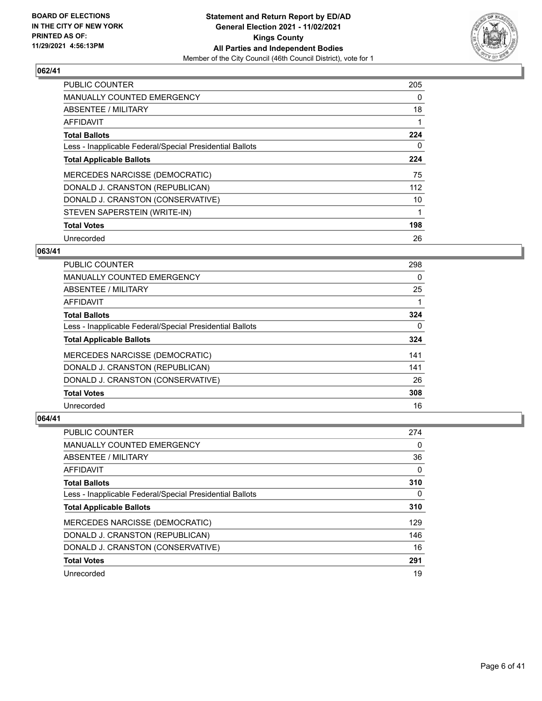

| <b>PUBLIC COUNTER</b>                                    | 205         |
|----------------------------------------------------------|-------------|
| MANUALLY COUNTED EMERGENCY                               | 0           |
| ABSENTEE / MILITARY                                      | 18          |
| AFFIDAVIT                                                | $\mathbf 1$ |
| <b>Total Ballots</b>                                     | 224         |
| Less - Inapplicable Federal/Special Presidential Ballots | 0           |
| <b>Total Applicable Ballots</b>                          | 224         |
| MERCEDES NARCISSE (DEMOCRATIC)                           | 75          |
| DONALD J. CRANSTON (REPUBLICAN)                          | 112         |
| DONALD J. CRANSTON (CONSERVATIVE)                        | 10          |
| STEVEN SAPERSTEIN (WRITE-IN)                             |             |
| <b>Total Votes</b>                                       | 198         |
| Unrecorded                                               | 26          |

## **063/41**

| <b>PUBLIC COUNTER</b>                                    | 298 |
|----------------------------------------------------------|-----|
| <b>MANUALLY COUNTED EMERGENCY</b>                        | 0   |
| ABSENTEE / MILITARY                                      | 25  |
| AFFIDAVIT                                                |     |
| <b>Total Ballots</b>                                     | 324 |
| Less - Inapplicable Federal/Special Presidential Ballots | 0   |
| <b>Total Applicable Ballots</b>                          | 324 |
| <b>MERCEDES NARCISSE (DEMOCRATIC)</b>                    | 141 |
| DONALD J. CRANSTON (REPUBLICAN)                          | 141 |
| DONALD J. CRANSTON (CONSERVATIVE)                        | 26  |
| <b>Total Votes</b>                                       | 308 |
| Unrecorded                                               | 16  |

| PUBLIC COUNTER                                           | 274 |
|----------------------------------------------------------|-----|
| <b>MANUALLY COUNTED EMERGENCY</b>                        | 0   |
| ABSENTEE / MILITARY                                      | 36  |
| AFFIDAVIT                                                | 0   |
| <b>Total Ballots</b>                                     | 310 |
| Less - Inapplicable Federal/Special Presidential Ballots | 0   |
| <b>Total Applicable Ballots</b>                          | 310 |
| <b>MERCEDES NARCISSE (DEMOCRATIC)</b>                    | 129 |
| DONALD J. CRANSTON (REPUBLICAN)                          | 146 |
| DONALD J. CRANSTON (CONSERVATIVE)                        | 16  |
| <b>Total Votes</b>                                       | 291 |
| Unrecorded                                               | 19  |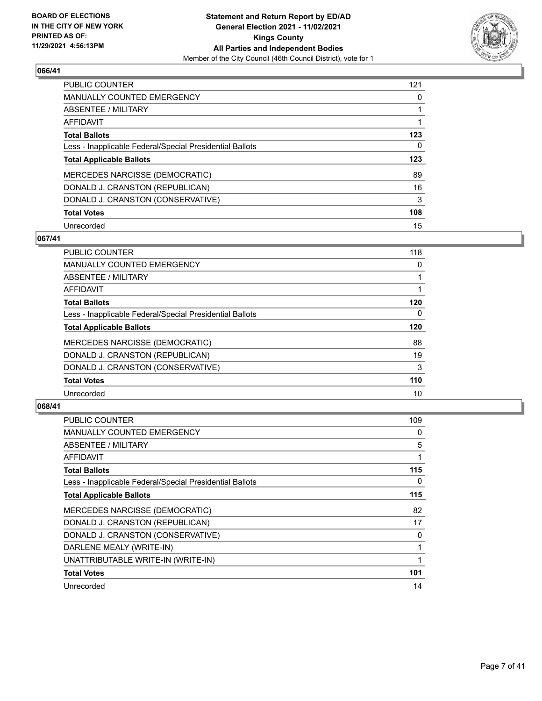

| <b>PUBLIC COUNTER</b>                                    | 121 |
|----------------------------------------------------------|-----|
| MANUALLY COUNTED EMERGENCY                               | 0   |
| ABSENTEE / MILITARY                                      |     |
| AFFIDAVIT                                                |     |
| <b>Total Ballots</b>                                     | 123 |
| Less - Inapplicable Federal/Special Presidential Ballots | 0   |
| <b>Total Applicable Ballots</b>                          | 123 |
| MERCEDES NARCISSE (DEMOCRATIC)                           | 89  |
| DONALD J. CRANSTON (REPUBLICAN)                          | 16  |
| DONALD J. CRANSTON (CONSERVATIVE)                        | 3   |
| <b>Total Votes</b>                                       | 108 |
| Unrecorded                                               | 15  |

## **067/41**

| <b>PUBLIC COUNTER</b>                                    | 118 |
|----------------------------------------------------------|-----|
| MANUALLY COUNTED EMERGENCY                               | 0   |
| ABSENTEE / MILITARY                                      |     |
| <b>AFFIDAVIT</b>                                         |     |
| <b>Total Ballots</b>                                     | 120 |
| Less - Inapplicable Federal/Special Presidential Ballots | 0   |
| <b>Total Applicable Ballots</b>                          | 120 |
| MERCEDES NARCISSE (DEMOCRATIC)                           | 88  |
| DONALD J. CRANSTON (REPUBLICAN)                          | 19  |
| DONALD J. CRANSTON (CONSERVATIVE)                        | 3   |
| <b>Total Votes</b>                                       | 110 |
| Unrecorded                                               | 10  |

| <b>PUBLIC COUNTER</b>                                    | 109 |
|----------------------------------------------------------|-----|
| <b>MANUALLY COUNTED EMERGENCY</b>                        | 0   |
| ABSENTEE / MILITARY                                      | 5   |
| AFFIDAVIT                                                | 1   |
| <b>Total Ballots</b>                                     | 115 |
| Less - Inapplicable Federal/Special Presidential Ballots | 0   |
| <b>Total Applicable Ballots</b>                          | 115 |
| <b>MERCEDES NARCISSE (DEMOCRATIC)</b>                    | 82  |
| DONALD J. CRANSTON (REPUBLICAN)                          | 17  |
| DONALD J. CRANSTON (CONSERVATIVE)                        | 0   |
| DARLENE MEALY (WRITE-IN)                                 | 1   |
| UNATTRIBUTABLE WRITE-IN (WRITE-IN)                       | 1   |
| <b>Total Votes</b>                                       | 101 |
| Unrecorded                                               | 14  |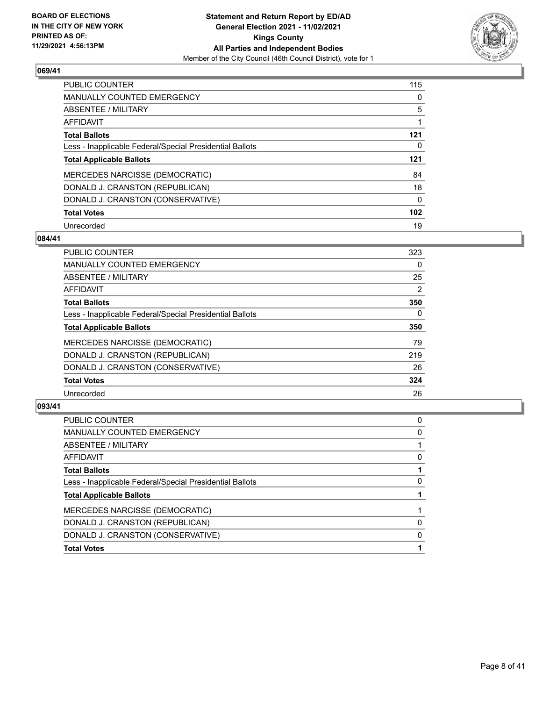

| <b>PUBLIC COUNTER</b>                                    | 115      |
|----------------------------------------------------------|----------|
| MANUALLY COUNTED EMERGENCY                               | $\Omega$ |
| ABSENTEE / MILITARY                                      | 5        |
| AFFIDAVIT                                                |          |
| <b>Total Ballots</b>                                     | 121      |
| Less - Inapplicable Federal/Special Presidential Ballots | 0        |
| <b>Total Applicable Ballots</b>                          | 121      |
| MERCEDES NARCISSE (DEMOCRATIC)                           | 84       |
| DONALD J. CRANSTON (REPUBLICAN)                          | 18       |
| DONALD J. CRANSTON (CONSERVATIVE)                        | 0        |
| <b>Total Votes</b>                                       | 102      |
| Unrecorded                                               | 19       |

## **084/41**

| <b>PUBLIC COUNTER</b>                                    | 323      |
|----------------------------------------------------------|----------|
| <b>MANUALLY COUNTED EMERGENCY</b>                        | $\Omega$ |
| ABSENTEE / MILITARY                                      | 25       |
| <b>AFFIDAVIT</b>                                         | 2        |
| <b>Total Ballots</b>                                     | 350      |
| Less - Inapplicable Federal/Special Presidential Ballots | $\Omega$ |
| <b>Total Applicable Ballots</b>                          | 350      |
| MERCEDES NARCISSE (DEMOCRATIC)                           | 79       |
| DONALD J. CRANSTON (REPUBLICAN)                          | 219      |
| DONALD J. CRANSTON (CONSERVATIVE)                        | 26       |
| <b>Total Votes</b>                                       | 324      |
| Unrecorded                                               | 26       |

| PUBLIC COUNTER                                           | 0 |
|----------------------------------------------------------|---|
| <b>MANUALLY COUNTED EMERGENCY</b>                        | 0 |
| <b>ABSENTEE / MILITARY</b>                               |   |
| AFFIDAVIT                                                | 0 |
| <b>Total Ballots</b>                                     |   |
| Less - Inapplicable Federal/Special Presidential Ballots | 0 |
| <b>Total Applicable Ballots</b>                          |   |
| MERCEDES NARCISSE (DEMOCRATIC)                           |   |
| DONALD J. CRANSTON (REPUBLICAN)                          | 0 |
| DONALD J. CRANSTON (CONSERVATIVE)                        | 0 |
| <b>Total Votes</b>                                       |   |
|                                                          |   |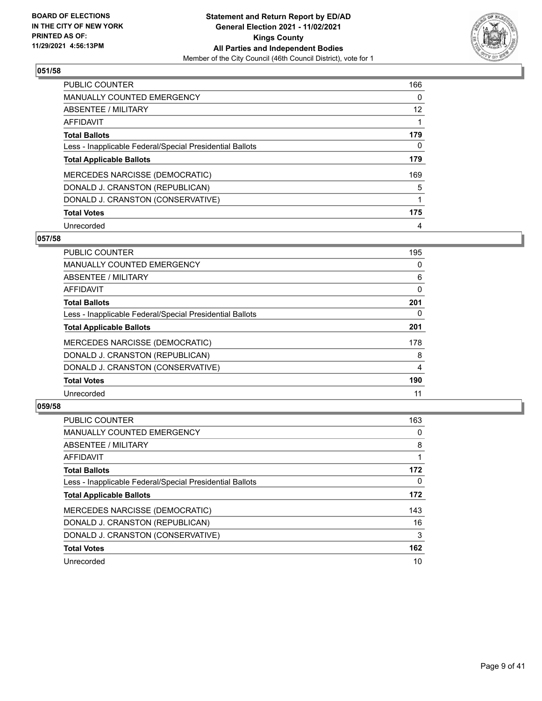

| <b>PUBLIC COUNTER</b>                                    | 166      |
|----------------------------------------------------------|----------|
| <b>MANUALLY COUNTED EMERGENCY</b>                        | $\Omega$ |
| ABSENTEE / MILITARY                                      | 12       |
| <b>AFFIDAVIT</b>                                         |          |
| <b>Total Ballots</b>                                     | 179      |
| Less - Inapplicable Federal/Special Presidential Ballots | 0        |
| <b>Total Applicable Ballots</b>                          | 179      |
| MERCEDES NARCISSE (DEMOCRATIC)                           | 169      |
| DONALD J. CRANSTON (REPUBLICAN)                          | 5        |
| DONALD J. CRANSTON (CONSERVATIVE)                        |          |
| <b>Total Votes</b>                                       | 175      |
| Unrecorded                                               | 4        |

#### **057/58**

| <b>PUBLIC COUNTER</b>                                    | 195      |
|----------------------------------------------------------|----------|
| <b>MANUALLY COUNTED EMERGENCY</b>                        | 0        |
| ABSENTEE / MILITARY                                      | 6        |
| <b>AFFIDAVIT</b>                                         | $\Omega$ |
| <b>Total Ballots</b>                                     | 201      |
| Less - Inapplicable Federal/Special Presidential Ballots | 0        |
| <b>Total Applicable Ballots</b>                          | 201      |
| <b>MERCEDES NARCISSE (DEMOCRATIC)</b>                    | 178      |
| DONALD J. CRANSTON (REPUBLICAN)                          | 8        |
| DONALD J. CRANSTON (CONSERVATIVE)                        | 4        |
| <b>Total Votes</b>                                       | 190      |
| Unrecorded                                               | 11       |

| <b>PUBLIC COUNTER</b>                                    | 163 |
|----------------------------------------------------------|-----|
| <b>MANUALLY COUNTED EMERGENCY</b>                        | 0   |
| ABSENTEE / MILITARY                                      | 8   |
| AFFIDAVIT                                                |     |
| <b>Total Ballots</b>                                     | 172 |
| Less - Inapplicable Federal/Special Presidential Ballots | 0   |
| <b>Total Applicable Ballots</b>                          | 172 |
| MERCEDES NARCISSE (DEMOCRATIC)                           | 143 |
| DONALD J. CRANSTON (REPUBLICAN)                          | 16  |
| DONALD J. CRANSTON (CONSERVATIVE)                        | 3   |
| <b>Total Votes</b>                                       | 162 |
| Unrecorded                                               | 10  |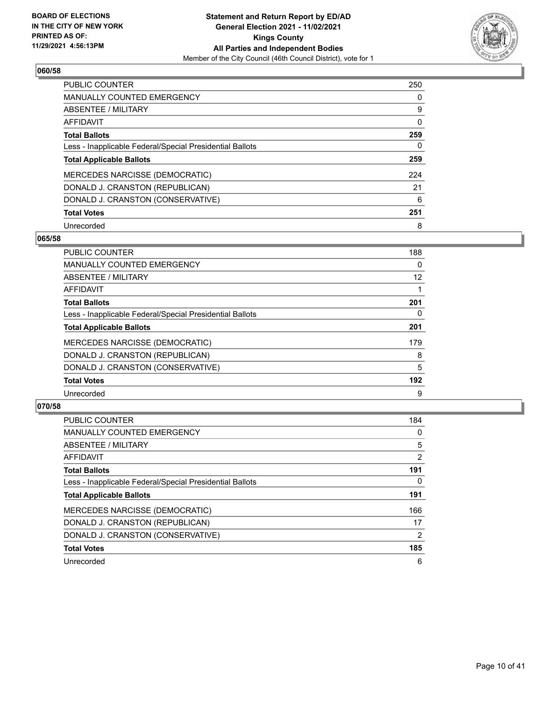

| <b>PUBLIC COUNTER</b>                                    | 250      |
|----------------------------------------------------------|----------|
| <b>MANUALLY COUNTED EMERGENCY</b>                        | $\Omega$ |
| ABSENTEE / MILITARY                                      | 9        |
| AFFIDAVIT                                                | 0        |
| <b>Total Ballots</b>                                     | 259      |
| Less - Inapplicable Federal/Special Presidential Ballots | 0        |
| <b>Total Applicable Ballots</b>                          | 259      |
| MERCEDES NARCISSE (DEMOCRATIC)                           | 224      |
| DONALD J. CRANSTON (REPUBLICAN)                          | 21       |
| DONALD J. CRANSTON (CONSERVATIVE)                        | 6        |
| <b>Total Votes</b>                                       | 251      |
| Unrecorded                                               | 8        |

#### **065/58**

| <b>PUBLIC COUNTER</b>                                    | 188 |
|----------------------------------------------------------|-----|
| <b>MANUALLY COUNTED EMERGENCY</b>                        | 0   |
| ABSENTEE / MILITARY                                      | 12  |
| AFFIDAVIT                                                |     |
| <b>Total Ballots</b>                                     | 201 |
| Less - Inapplicable Federal/Special Presidential Ballots | 0   |
| <b>Total Applicable Ballots</b>                          | 201 |
| MERCEDES NARCISSE (DEMOCRATIC)                           | 179 |
| DONALD J. CRANSTON (REPUBLICAN)                          | 8   |
| DONALD J. CRANSTON (CONSERVATIVE)                        | 5   |
| <b>Total Votes</b>                                       | 192 |
| Unrecorded                                               | 9   |

| <b>PUBLIC COUNTER</b>                                    | 184            |
|----------------------------------------------------------|----------------|
| <b>MANUALLY COUNTED EMERGENCY</b>                        | 0              |
| ABSENTEE / MILITARY                                      | 5              |
| AFFIDAVIT                                                | $\overline{2}$ |
| <b>Total Ballots</b>                                     | 191            |
| Less - Inapplicable Federal/Special Presidential Ballots | 0              |
| <b>Total Applicable Ballots</b>                          | 191            |
| MERCEDES NARCISSE (DEMOCRATIC)                           | 166            |
| DONALD J. CRANSTON (REPUBLICAN)                          | 17             |
| DONALD J. CRANSTON (CONSERVATIVE)                        | $\mathfrak{p}$ |
| <b>Total Votes</b>                                       | 185            |
| Unrecorded                                               | 6              |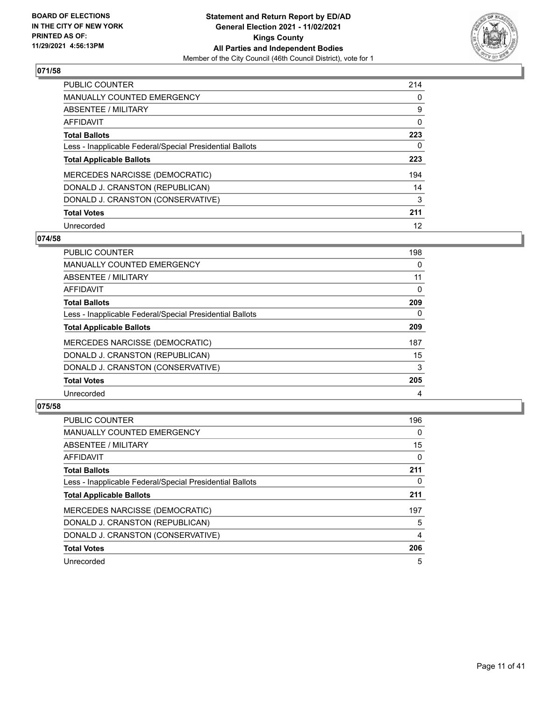

| <b>PUBLIC COUNTER</b>                                    | 214      |
|----------------------------------------------------------|----------|
| <b>MANUALLY COUNTED EMERGENCY</b>                        | $\Omega$ |
| ABSENTEE / MILITARY                                      | 9        |
| <b>AFFIDAVIT</b>                                         | 0        |
| <b>Total Ballots</b>                                     | 223      |
| Less - Inapplicable Federal/Special Presidential Ballots | 0        |
| <b>Total Applicable Ballots</b>                          | 223      |
| MERCEDES NARCISSE (DEMOCRATIC)                           | 194      |
| DONALD J. CRANSTON (REPUBLICAN)                          | 14       |
| DONALD J. CRANSTON (CONSERVATIVE)                        | 3        |
| <b>Total Votes</b>                                       | 211      |
| Unrecorded                                               | 12       |

#### **074/58**

| <b>PUBLIC COUNTER</b>                                    | 198      |
|----------------------------------------------------------|----------|
| <b>MANUALLY COUNTED EMERGENCY</b>                        | 0        |
| ABSENTEE / MILITARY                                      | 11       |
| <b>AFFIDAVIT</b>                                         | 0        |
| <b>Total Ballots</b>                                     | 209      |
| Less - Inapplicable Federal/Special Presidential Ballots | $\Omega$ |
| <b>Total Applicable Ballots</b>                          | 209      |
| MERCEDES NARCISSE (DEMOCRATIC)                           | 187      |
| DONALD J. CRANSTON (REPUBLICAN)                          | 15       |
| DONALD J. CRANSTON (CONSERVATIVE)                        | 3        |
| <b>Total Votes</b>                                       | 205      |
| Unrecorded                                               | 4        |

| <b>PUBLIC COUNTER</b>                                    | 196      |
|----------------------------------------------------------|----------|
| <b>MANUALLY COUNTED EMERGENCY</b>                        | 0        |
| ABSENTEE / MILITARY                                      | 15       |
| <b>AFFIDAVIT</b>                                         | $\Omega$ |
| <b>Total Ballots</b>                                     | 211      |
| Less - Inapplicable Federal/Special Presidential Ballots | 0        |
| <b>Total Applicable Ballots</b>                          | 211      |
| MERCEDES NARCISSE (DEMOCRATIC)                           | 197      |
| DONALD J. CRANSTON (REPUBLICAN)                          | 5        |
| DONALD J. CRANSTON (CONSERVATIVE)                        | 4        |
| <b>Total Votes</b>                                       | 206      |
| Unrecorded                                               | 5        |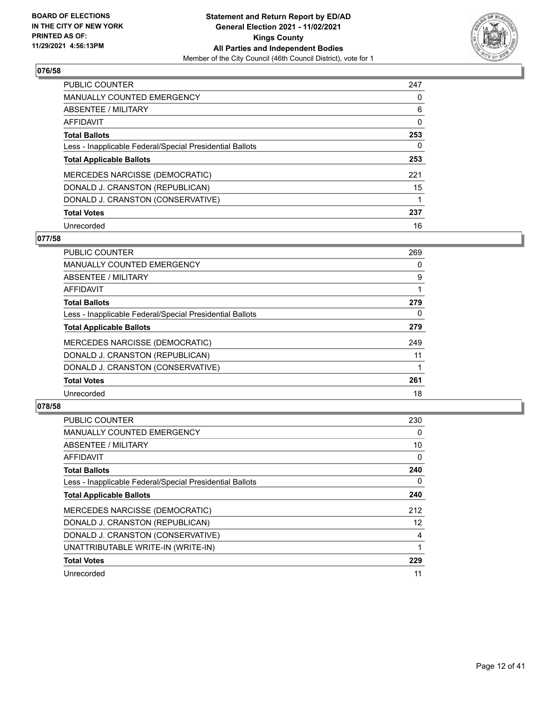

| <b>PUBLIC COUNTER</b>                                    | 247 |
|----------------------------------------------------------|-----|
| <b>MANUALLY COUNTED EMERGENCY</b>                        | 0   |
| ABSENTEE / MILITARY                                      | 6   |
| <b>AFFIDAVIT</b>                                         | 0   |
| <b>Total Ballots</b>                                     | 253 |
| Less - Inapplicable Federal/Special Presidential Ballots | 0   |
| <b>Total Applicable Ballots</b>                          | 253 |
| MERCEDES NARCISSE (DEMOCRATIC)                           | 221 |
| DONALD J. CRANSTON (REPUBLICAN)                          | 15  |
| DONALD J. CRANSTON (CONSERVATIVE)                        | 1   |
| <b>Total Votes</b>                                       | 237 |
| Unrecorded                                               | 16  |

## **077/58**

| <b>PUBLIC COUNTER</b>                                    | 269 |
|----------------------------------------------------------|-----|
| <b>MANUALLY COUNTED EMERGENCY</b>                        | 0   |
| ABSENTEE / MILITARY                                      | 9   |
| AFFIDAVIT                                                |     |
| <b>Total Ballots</b>                                     | 279 |
| Less - Inapplicable Federal/Special Presidential Ballots | 0   |
| <b>Total Applicable Ballots</b>                          | 279 |
| <b>MERCEDES NARCISSE (DEMOCRATIC)</b>                    | 249 |
| DONALD J. CRANSTON (REPUBLICAN)                          | 11  |
| DONALD J. CRANSTON (CONSERVATIVE)                        |     |
| <b>Total Votes</b>                                       | 261 |
| Unrecorded                                               | 18  |

| <b>PUBLIC COUNTER</b>                                    | 230 |
|----------------------------------------------------------|-----|
| <b>MANUALLY COUNTED EMERGENCY</b>                        | 0   |
| ABSENTEE / MILITARY                                      | 10  |
| AFFIDAVIT                                                | 0   |
| <b>Total Ballots</b>                                     | 240 |
| Less - Inapplicable Federal/Special Presidential Ballots | 0   |
| <b>Total Applicable Ballots</b>                          | 240 |
| MERCEDES NARCISSE (DEMOCRATIC)                           | 212 |
| DONALD J. CRANSTON (REPUBLICAN)                          | 12  |
| DONALD J. CRANSTON (CONSERVATIVE)                        | 4   |
| UNATTRIBUTABLE WRITE-IN (WRITE-IN)                       |     |
| <b>Total Votes</b>                                       | 229 |
| Unrecorded                                               | 11  |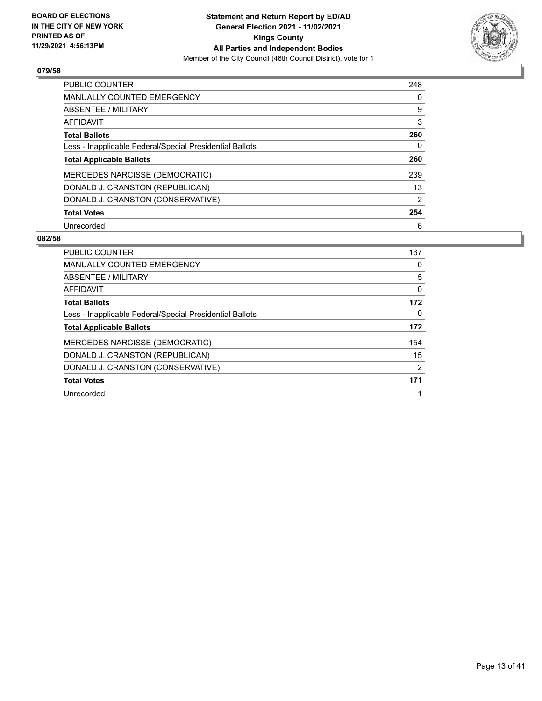

| <b>PUBLIC COUNTER</b>                                    | 248            |
|----------------------------------------------------------|----------------|
| <b>MANUALLY COUNTED EMERGENCY</b>                        | 0              |
| <b>ABSENTEE / MILITARY</b>                               | 9              |
| <b>AFFIDAVIT</b>                                         | 3              |
| <b>Total Ballots</b>                                     | 260            |
| Less - Inapplicable Federal/Special Presidential Ballots | 0              |
| <b>Total Applicable Ballots</b>                          | 260            |
| MERCEDES NARCISSE (DEMOCRATIC)                           | 239            |
| DONALD J. CRANSTON (REPUBLICAN)                          | 13             |
| DONALD J. CRANSTON (CONSERVATIVE)                        | $\overline{2}$ |
| <b>Total Votes</b>                                       | 254            |
| Unrecorded                                               | 6              |

| <b>PUBLIC COUNTER</b>                                    | 167 |
|----------------------------------------------------------|-----|
| <b>MANUALLY COUNTED EMERGENCY</b>                        | 0   |
| ABSENTEE / MILITARY                                      | 5   |
| AFFIDAVIT                                                | 0   |
| <b>Total Ballots</b>                                     | 172 |
| Less - Inapplicable Federal/Special Presidential Ballots | 0   |
| <b>Total Applicable Ballots</b>                          | 172 |
| <b>MERCEDES NARCISSE (DEMOCRATIC)</b>                    | 154 |
|                                                          |     |
| DONALD J. CRANSTON (REPUBLICAN)                          | 15  |
| DONALD J. CRANSTON (CONSERVATIVE)                        | 2   |
| <b>Total Votes</b>                                       | 171 |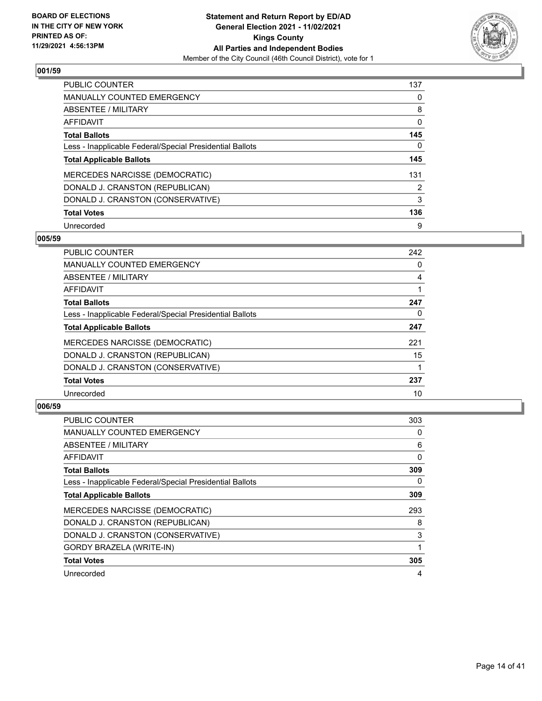

| <b>PUBLIC COUNTER</b>                                    | 137      |
|----------------------------------------------------------|----------|
| <b>MANUALLY COUNTED EMERGENCY</b>                        | $\Omega$ |
| ABSENTEE / MILITARY                                      | 8        |
| <b>AFFIDAVIT</b>                                         | 0        |
| <b>Total Ballots</b>                                     | 145      |
| Less - Inapplicable Federal/Special Presidential Ballots | 0        |
| <b>Total Applicable Ballots</b>                          | 145      |
| MERCEDES NARCISSE (DEMOCRATIC)                           | 131      |
| DONALD J. CRANSTON (REPUBLICAN)                          | 2        |
| DONALD J. CRANSTON (CONSERVATIVE)                        | 3        |
| <b>Total Votes</b>                                       | 136      |
| Unrecorded                                               | 9        |

#### **005/59**

| <b>PUBLIC COUNTER</b>                                    | 242 |
|----------------------------------------------------------|-----|
| <b>MANUALLY COUNTED EMERGENCY</b>                        | 0   |
| ABSENTEE / MILITARY                                      | 4   |
| <b>AFFIDAVIT</b>                                         |     |
| <b>Total Ballots</b>                                     | 247 |
| Less - Inapplicable Federal/Special Presidential Ballots | 0   |
| <b>Total Applicable Ballots</b>                          | 247 |
| <b>MERCEDES NARCISSE (DEMOCRATIC)</b>                    | 221 |
| DONALD J. CRANSTON (REPUBLICAN)                          | 15  |
| DONALD J. CRANSTON (CONSERVATIVE)                        |     |
| <b>Total Votes</b>                                       | 237 |
| Unrecorded                                               | 10  |

| <b>PUBLIC COUNTER</b>                                    | 303 |
|----------------------------------------------------------|-----|
| MANUALLY COUNTED EMERGENCY                               | 0   |
| ABSENTEE / MILITARY                                      | 6   |
| AFFIDAVIT                                                | 0   |
| <b>Total Ballots</b>                                     | 309 |
| Less - Inapplicable Federal/Special Presidential Ballots | 0   |
| <b>Total Applicable Ballots</b>                          | 309 |
| MERCEDES NARCISSE (DEMOCRATIC)                           | 293 |
| DONALD J. CRANSTON (REPUBLICAN)                          | 8   |
| DONALD J. CRANSTON (CONSERVATIVE)                        | 3   |
| <b>GORDY BRAZELA (WRITE-IN)</b>                          |     |
| <b>Total Votes</b>                                       | 305 |
| Unrecorded                                               | 4   |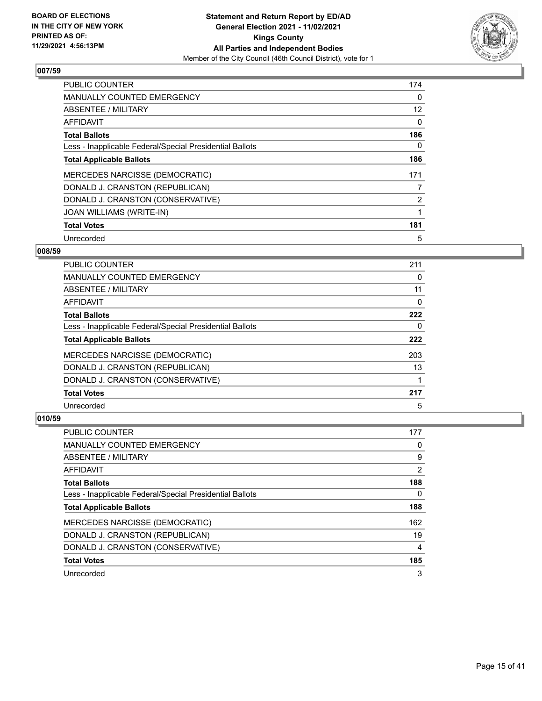

| <b>PUBLIC COUNTER</b>                                    | 174 |
|----------------------------------------------------------|-----|
| <b>MANUALLY COUNTED EMERGENCY</b>                        | 0   |
| ABSENTEE / MILITARY                                      | 12  |
| AFFIDAVIT                                                | 0   |
| <b>Total Ballots</b>                                     | 186 |
| Less - Inapplicable Federal/Special Presidential Ballots | 0   |
| <b>Total Applicable Ballots</b>                          | 186 |
| <b>MERCEDES NARCISSE (DEMOCRATIC)</b>                    | 171 |
| DONALD J. CRANSTON (REPUBLICAN)                          |     |
| DONALD J. CRANSTON (CONSERVATIVE)                        | 2   |
| JOAN WILLIAMS (WRITE-IN)                                 |     |
| <b>Total Votes</b>                                       | 181 |
| Unrecorded                                               | 5   |

## **008/59**

| <b>PUBLIC COUNTER</b>                                    | 211 |
|----------------------------------------------------------|-----|
| <b>MANUALLY COUNTED EMERGENCY</b>                        | 0   |
| ABSENTEE / MILITARY                                      | 11  |
| AFFIDAVIT                                                | 0   |
| <b>Total Ballots</b>                                     | 222 |
| Less - Inapplicable Federal/Special Presidential Ballots | 0   |
| <b>Total Applicable Ballots</b>                          | 222 |
| <b>MERCEDES NARCISSE (DEMOCRATIC)</b>                    | 203 |
| DONALD J. CRANSTON (REPUBLICAN)                          | 13  |
| DONALD J. CRANSTON (CONSERVATIVE)                        |     |
| <b>Total Votes</b>                                       | 217 |
| Unrecorded                                               | 5   |

| <b>PUBLIC COUNTER</b>                                    | 177            |
|----------------------------------------------------------|----------------|
| <b>MANUALLY COUNTED EMERGENCY</b>                        | 0              |
| ABSENTEE / MILITARY                                      | 9              |
| AFFIDAVIT                                                | $\overline{2}$ |
| <b>Total Ballots</b>                                     | 188            |
| Less - Inapplicable Federal/Special Presidential Ballots | 0              |
| <b>Total Applicable Ballots</b>                          | 188            |
| MERCEDES NARCISSE (DEMOCRATIC)                           | 162            |
| DONALD J. CRANSTON (REPUBLICAN)                          | 19             |
| DONALD J. CRANSTON (CONSERVATIVE)                        | 4              |
| <b>Total Votes</b>                                       | 185            |
| Unrecorded                                               | 3              |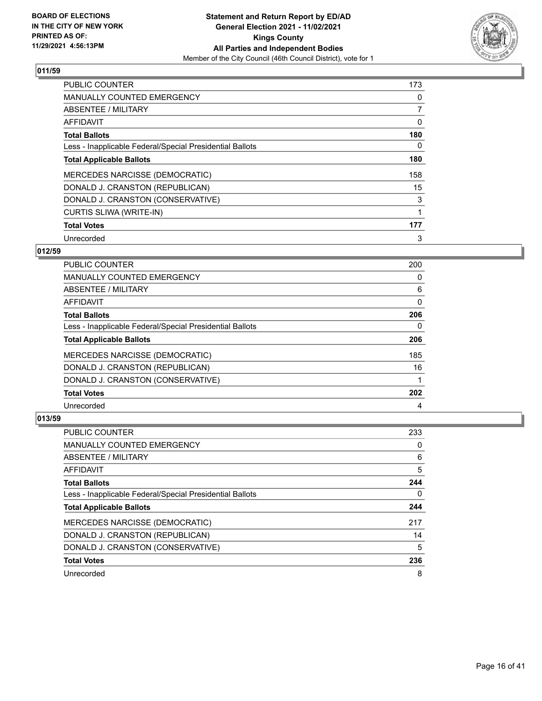

| <b>PUBLIC COUNTER</b>                                    | 173 |
|----------------------------------------------------------|-----|
| <b>MANUALLY COUNTED EMERGENCY</b>                        | 0   |
| ABSENTEE / MILITARY                                      | 7   |
| AFFIDAVIT                                                | 0   |
| <b>Total Ballots</b>                                     | 180 |
| Less - Inapplicable Federal/Special Presidential Ballots | 0   |
| <b>Total Applicable Ballots</b>                          | 180 |
| <b>MERCEDES NARCISSE (DEMOCRATIC)</b>                    | 158 |
| DONALD J. CRANSTON (REPUBLICAN)                          | 15  |
| DONALD J. CRANSTON (CONSERVATIVE)                        | 3   |
| <b>CURTIS SLIWA (WRITE-IN)</b>                           |     |
| <b>Total Votes</b>                                       | 177 |
| Unrecorded                                               | 3   |

## **012/59**

| <b>PUBLIC COUNTER</b>                                    | 200      |
|----------------------------------------------------------|----------|
| <b>MANUALLY COUNTED EMERGENCY</b>                        | 0        |
| ABSENTEE / MILITARY                                      | 6        |
| AFFIDAVIT                                                | $\Omega$ |
| <b>Total Ballots</b>                                     | 206      |
| Less - Inapplicable Federal/Special Presidential Ballots | 0        |
| <b>Total Applicable Ballots</b>                          | 206      |
| <b>MERCEDES NARCISSE (DEMOCRATIC)</b>                    | 185      |
| DONALD J. CRANSTON (REPUBLICAN)                          | 16       |
| DONALD J. CRANSTON (CONSERVATIVE)                        |          |
| <b>Total Votes</b>                                       | 202      |
| Unrecorded                                               | 4        |

| PUBLIC COUNTER                                           | 233 |
|----------------------------------------------------------|-----|
| <b>MANUALLY COUNTED EMERGENCY</b>                        | 0   |
| ABSENTEE / MILITARY                                      | 6   |
| AFFIDAVIT                                                | 5   |
| <b>Total Ballots</b>                                     | 244 |
| Less - Inapplicable Federal/Special Presidential Ballots | 0   |
| <b>Total Applicable Ballots</b>                          | 244 |
| <b>MERCEDES NARCISSE (DEMOCRATIC)</b>                    | 217 |
| DONALD J. CRANSTON (REPUBLICAN)                          | 14  |
| DONALD J. CRANSTON (CONSERVATIVE)                        | 5   |
| <b>Total Votes</b>                                       | 236 |
| Unrecorded                                               | 8   |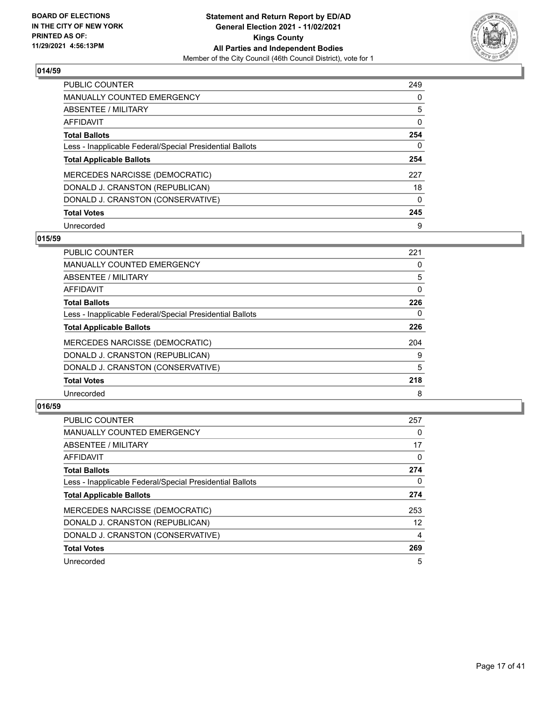

| <b>PUBLIC COUNTER</b>                                    | 249      |
|----------------------------------------------------------|----------|
| <b>MANUALLY COUNTED EMERGENCY</b>                        | $\Omega$ |
| ABSENTEE / MILITARY                                      | 5        |
| AFFIDAVIT                                                | 0        |
| <b>Total Ballots</b>                                     | 254      |
| Less - Inapplicable Federal/Special Presidential Ballots | 0        |
| <b>Total Applicable Ballots</b>                          | 254      |
| MERCEDES NARCISSE (DEMOCRATIC)                           | 227      |
| DONALD J. CRANSTON (REPUBLICAN)                          | 18       |
| DONALD J. CRANSTON (CONSERVATIVE)                        | $\Omega$ |
| <b>Total Votes</b>                                       | 245      |
| Unrecorded                                               | 9        |

## **015/59**

| PUBLIC COUNTER                                           | 221 |
|----------------------------------------------------------|-----|
| <b>MANUALLY COUNTED EMERGENCY</b>                        | 0   |
| ABSENTEE / MILITARY                                      | 5   |
| <b>AFFIDAVIT</b>                                         | 0   |
| <b>Total Ballots</b>                                     | 226 |
| Less - Inapplicable Federal/Special Presidential Ballots | 0   |
| <b>Total Applicable Ballots</b>                          | 226 |
| MERCEDES NARCISSE (DEMOCRATIC)                           | 204 |
| DONALD J. CRANSTON (REPUBLICAN)                          | 9   |
| DONALD J. CRANSTON (CONSERVATIVE)                        | 5   |
| <b>Total Votes</b>                                       | 218 |
| Unrecorded                                               | 8   |

| <b>PUBLIC COUNTER</b>                                    | 257      |
|----------------------------------------------------------|----------|
| <b>MANUALLY COUNTED EMERGENCY</b>                        | $\Omega$ |
| ABSENTEE / MILITARY                                      | 17       |
| AFFIDAVIT                                                | 0        |
| <b>Total Ballots</b>                                     | 274      |
| Less - Inapplicable Federal/Special Presidential Ballots | 0        |
| <b>Total Applicable Ballots</b>                          | 274      |
| MERCEDES NARCISSE (DEMOCRATIC)                           | 253      |
| DONALD J. CRANSTON (REPUBLICAN)                          | 12       |
| DONALD J. CRANSTON (CONSERVATIVE)                        | 4        |
| <b>Total Votes</b>                                       | 269      |
| Unrecorded                                               | 5        |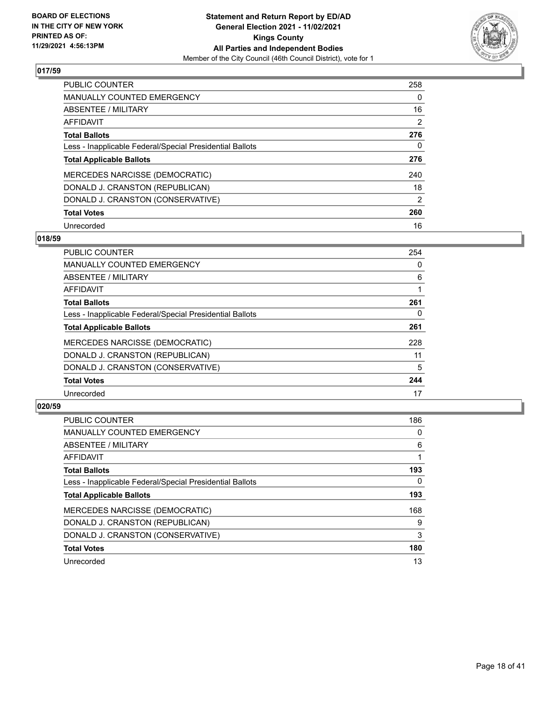

| <b>PUBLIC COUNTER</b>                                    | 258      |
|----------------------------------------------------------|----------|
| <b>MANUALLY COUNTED EMERGENCY</b>                        | $\Omega$ |
| ABSENTEE / MILITARY                                      | 16       |
| AFFIDAVIT                                                | 2        |
| <b>Total Ballots</b>                                     | 276      |
| Less - Inapplicable Federal/Special Presidential Ballots | 0        |
| <b>Total Applicable Ballots</b>                          | 276      |
| MERCEDES NARCISSE (DEMOCRATIC)                           | 240      |
| DONALD J. CRANSTON (REPUBLICAN)                          | 18       |
| DONALD J. CRANSTON (CONSERVATIVE)                        | 2        |
| <b>Total Votes</b>                                       | 260      |
| Unrecorded                                               | 16       |

#### **018/59**

| <b>PUBLIC COUNTER</b>                                    | 254 |
|----------------------------------------------------------|-----|
| <b>MANUALLY COUNTED EMERGENCY</b>                        | 0   |
| ABSENTEE / MILITARY                                      | 6   |
| <b>AFFIDAVIT</b>                                         |     |
| <b>Total Ballots</b>                                     | 261 |
| Less - Inapplicable Federal/Special Presidential Ballots | 0   |
| <b>Total Applicable Ballots</b>                          | 261 |
| MERCEDES NARCISSE (DEMOCRATIC)                           | 228 |
| DONALD J. CRANSTON (REPUBLICAN)                          | 11  |
| DONALD J. CRANSTON (CONSERVATIVE)                        | 5   |
| <b>Total Votes</b>                                       | 244 |
| Unrecorded                                               | 17  |

| <b>PUBLIC COUNTER</b>                                    | 186      |
|----------------------------------------------------------|----------|
| <b>MANUALLY COUNTED EMERGENCY</b>                        | $\Omega$ |
| ABSENTEE / MILITARY                                      | 6        |
| AFFIDAVIT                                                |          |
| <b>Total Ballots</b>                                     | 193      |
| Less - Inapplicable Federal/Special Presidential Ballots | 0        |
| <b>Total Applicable Ballots</b>                          | 193      |
| MERCEDES NARCISSE (DEMOCRATIC)                           | 168      |
| DONALD J. CRANSTON (REPUBLICAN)                          | 9        |
| DONALD J. CRANSTON (CONSERVATIVE)                        | 3        |
| <b>Total Votes</b>                                       | 180      |
| Unrecorded                                               | 13       |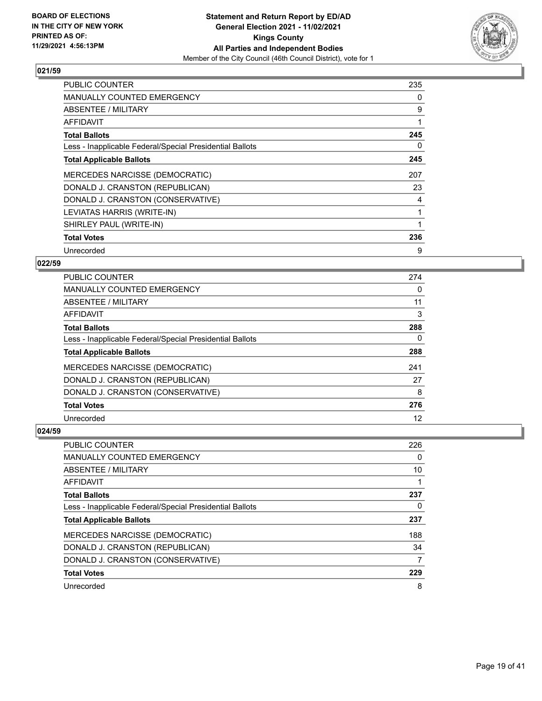

| <b>PUBLIC COUNTER</b>                                    | 235 |
|----------------------------------------------------------|-----|
| <b>MANUALLY COUNTED EMERGENCY</b>                        | 0   |
| ABSENTEE / MILITARY                                      | 9   |
| AFFIDAVIT                                                |     |
| <b>Total Ballots</b>                                     | 245 |
| Less - Inapplicable Federal/Special Presidential Ballots | 0   |
| <b>Total Applicable Ballots</b>                          | 245 |
| <b>MERCEDES NARCISSE (DEMOCRATIC)</b>                    | 207 |
| DONALD J. CRANSTON (REPUBLICAN)                          | 23  |
| DONALD J. CRANSTON (CONSERVATIVE)                        | 4   |
| LEVIATAS HARRIS (WRITE-IN)                               |     |
| SHIRLEY PAUL (WRITE-IN)                                  |     |
| <b>Total Votes</b>                                       | 236 |
| Unrecorded                                               | 9   |

## **022/59**

| <b>PUBLIC COUNTER</b>                                    | 274      |
|----------------------------------------------------------|----------|
| MANUALLY COUNTED EMERGENCY                               | 0        |
| ABSENTEE / MILITARY                                      | 11       |
| AFFIDAVIT                                                | 3        |
| <b>Total Ballots</b>                                     | 288      |
| Less - Inapplicable Federal/Special Presidential Ballots | $\Omega$ |
| <b>Total Applicable Ballots</b>                          | 288      |
| <b>MERCEDES NARCISSE (DEMOCRATIC)</b>                    | 241      |
| DONALD J. CRANSTON (REPUBLICAN)                          | 27       |
| DONALD J. CRANSTON (CONSERVATIVE)                        | 8        |
| <b>Total Votes</b>                                       | 276      |
| Unrecorded                                               | 12       |

| <b>PUBLIC COUNTER</b>                                    | 226 |
|----------------------------------------------------------|-----|
| <b>MANUALLY COUNTED EMERGENCY</b>                        | 0   |
| ABSENTEE / MILITARY                                      | 10  |
| AFFIDAVIT                                                |     |
| <b>Total Ballots</b>                                     | 237 |
| Less - Inapplicable Federal/Special Presidential Ballots | 0   |
| <b>Total Applicable Ballots</b>                          | 237 |
| <b>MERCEDES NARCISSE (DEMOCRATIC)</b>                    | 188 |
| DONALD J. CRANSTON (REPUBLICAN)                          | 34  |
| DONALD J. CRANSTON (CONSERVATIVE)                        | 7   |
| <b>Total Votes</b>                                       | 229 |
| Unrecorded                                               | 8   |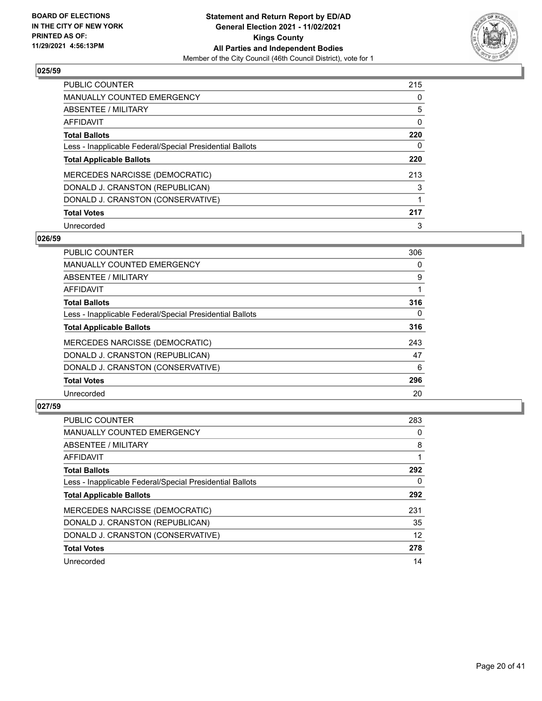

| <b>PUBLIC COUNTER</b>                                    | 215 |
|----------------------------------------------------------|-----|
| <b>MANUALLY COUNTED EMERGENCY</b>                        | 0   |
| ABSENTEE / MILITARY                                      | 5   |
| AFFIDAVIT                                                | 0   |
| <b>Total Ballots</b>                                     | 220 |
| Less - Inapplicable Federal/Special Presidential Ballots | 0   |
| <b>Total Applicable Ballots</b>                          | 220 |
| <b>MERCEDES NARCISSE (DEMOCRATIC)</b>                    | 213 |
| DONALD J. CRANSTON (REPUBLICAN)                          | 3   |
| DONALD J. CRANSTON (CONSERVATIVE)                        |     |
| <b>Total Votes</b>                                       | 217 |
| Unrecorded                                               | 3   |

#### **026/59**

| <b>PUBLIC COUNTER</b>                                    | 306      |
|----------------------------------------------------------|----------|
| <b>MANUALLY COUNTED EMERGENCY</b>                        | 0        |
| ABSENTEE / MILITARY                                      | 9        |
| <b>AFFIDAVIT</b>                                         |          |
| <b>Total Ballots</b>                                     | 316      |
| Less - Inapplicable Federal/Special Presidential Ballots | $\Omega$ |
| <b>Total Applicable Ballots</b>                          | 316      |
| MERCEDES NARCISSE (DEMOCRATIC)                           | 243      |
| DONALD J. CRANSTON (REPUBLICAN)                          | 47       |
| DONALD J. CRANSTON (CONSERVATIVE)                        | 6        |
| <b>Total Votes</b>                                       | 296      |
| Unrecorded                                               | 20       |

| <b>PUBLIC COUNTER</b>                                    | 283 |
|----------------------------------------------------------|-----|
| <b>MANUALLY COUNTED EMERGENCY</b>                        | 0   |
| ABSENTEE / MILITARY                                      | 8   |
| AFFIDAVIT                                                |     |
| <b>Total Ballots</b>                                     | 292 |
| Less - Inapplicable Federal/Special Presidential Ballots | 0   |
| <b>Total Applicable Ballots</b>                          | 292 |
| MERCEDES NARCISSE (DEMOCRATIC)                           | 231 |
| DONALD J. CRANSTON (REPUBLICAN)                          | 35  |
| DONALD J. CRANSTON (CONSERVATIVE)                        | 12  |
| <b>Total Votes</b>                                       | 278 |
| Unrecorded                                               | 14  |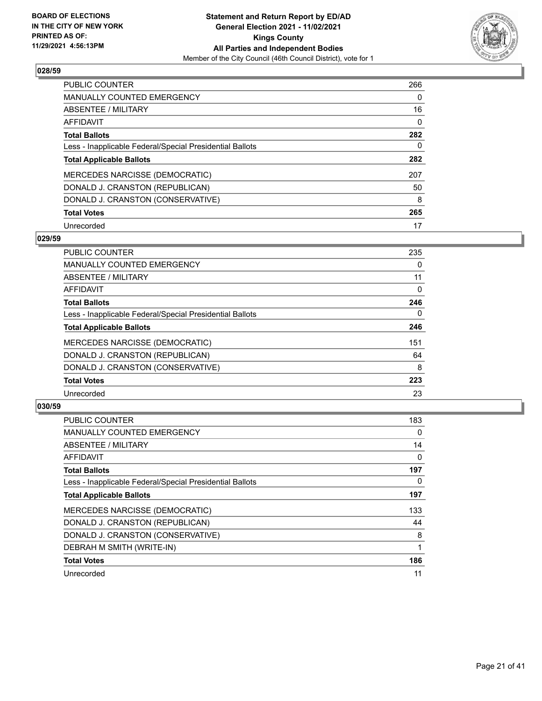

| <b>PUBLIC COUNTER</b>                                    | 266      |
|----------------------------------------------------------|----------|
| <b>MANUALLY COUNTED EMERGENCY</b>                        | 0        |
| ABSENTEE / MILITARY                                      | 16       |
| AFFIDAVIT                                                | $\Omega$ |
| <b>Total Ballots</b>                                     | 282      |
| Less - Inapplicable Federal/Special Presidential Ballots | 0        |
| <b>Total Applicable Ballots</b>                          | 282      |
| MERCEDES NARCISSE (DEMOCRATIC)                           | 207      |
| DONALD J. CRANSTON (REPUBLICAN)                          | 50       |
| DONALD J. CRANSTON (CONSERVATIVE)                        | 8        |
| <b>Total Votes</b>                                       | 265      |
| Unrecorded                                               | 17       |

#### **029/59**

| PUBLIC COUNTER                                           | 235      |
|----------------------------------------------------------|----------|
| <b>MANUALLY COUNTED EMERGENCY</b>                        | $\Omega$ |
| ABSENTEE / MILITARY                                      | 11       |
| AFFIDAVIT                                                | $\Omega$ |
| <b>Total Ballots</b>                                     | 246      |
| Less - Inapplicable Federal/Special Presidential Ballots | $\Omega$ |
| <b>Total Applicable Ballots</b>                          | 246      |
| <b>MERCEDES NARCISSE (DEMOCRATIC)</b>                    | 151      |
| DONALD J. CRANSTON (REPUBLICAN)                          | 64       |
| DONALD J. CRANSTON (CONSERVATIVE)                        | 8        |
| <b>Total Votes</b>                                       | 223      |
| Unrecorded                                               | 23       |

| <b>PUBLIC COUNTER</b>                                    | 183 |
|----------------------------------------------------------|-----|
| <b>MANUALLY COUNTED EMERGENCY</b>                        | 0   |
| ABSENTEE / MILITARY                                      | 14  |
| AFFIDAVIT                                                | 0   |
| <b>Total Ballots</b>                                     | 197 |
| Less - Inapplicable Federal/Special Presidential Ballots | 0   |
| <b>Total Applicable Ballots</b>                          | 197 |
| MERCEDES NARCISSE (DEMOCRATIC)                           | 133 |
| DONALD J. CRANSTON (REPUBLICAN)                          | 44  |
| DONALD J. CRANSTON (CONSERVATIVE)                        | 8   |
| DEBRAH M SMITH (WRITE-IN)                                |     |
| <b>Total Votes</b>                                       | 186 |
| Unrecorded                                               | 11  |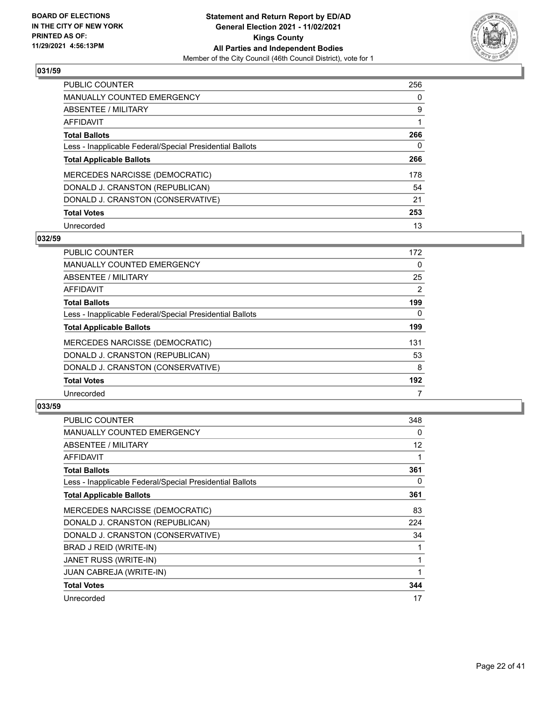

| <b>PUBLIC COUNTER</b>                                    | 256      |
|----------------------------------------------------------|----------|
| <b>MANUALLY COUNTED EMERGENCY</b>                        | $\Omega$ |
| ABSENTEE / MILITARY                                      | 9        |
| AFFIDAVIT                                                |          |
| <b>Total Ballots</b>                                     | 266      |
| Less - Inapplicable Federal/Special Presidential Ballots | 0        |
| <b>Total Applicable Ballots</b>                          | 266      |
| MERCEDES NARCISSE (DEMOCRATIC)                           | 178      |
| DONALD J. CRANSTON (REPUBLICAN)                          | 54       |
| DONALD J. CRANSTON (CONSERVATIVE)                        | 21       |
| <b>Total Votes</b>                                       | 253      |
| Unrecorded                                               | 13       |

#### **032/59**

| PUBLIC COUNTER                                           | 172      |
|----------------------------------------------------------|----------|
| <b>MANUALLY COUNTED EMERGENCY</b>                        | 0        |
| ABSENTEE / MILITARY                                      | 25       |
| <b>AFFIDAVIT</b>                                         | 2        |
| <b>Total Ballots</b>                                     | 199      |
| Less - Inapplicable Federal/Special Presidential Ballots | $\Omega$ |
| <b>Total Applicable Ballots</b>                          | 199      |
| <b>MERCEDES NARCISSE (DEMOCRATIC)</b>                    | 131      |
| DONALD J. CRANSTON (REPUBLICAN)                          | 53       |
| DONALD J. CRANSTON (CONSERVATIVE)                        | 8        |
| <b>Total Votes</b>                                       | 192      |
| Unrecorded                                               |          |

| <b>PUBLIC COUNTER</b>                                    | 348 |
|----------------------------------------------------------|-----|
| MANUALLY COUNTED EMERGENCY                               | 0   |
| ABSENTEE / MILITARY                                      | 12  |
| <b>AFFIDAVIT</b>                                         | 1   |
| <b>Total Ballots</b>                                     | 361 |
| Less - Inapplicable Federal/Special Presidential Ballots | 0   |
| <b>Total Applicable Ballots</b>                          | 361 |
| MERCEDES NARCISSE (DEMOCRATIC)                           | 83  |
| DONALD J. CRANSTON (REPUBLICAN)                          | 224 |
| DONALD J. CRANSTON (CONSERVATIVE)                        | 34  |
| BRAD J REID (WRITE-IN)                                   | 1   |
| JANET RUSS (WRITE-IN)                                    | 1   |
| JUAN CABREJA (WRITE-IN)                                  | 1   |
| <b>Total Votes</b>                                       | 344 |
| Unrecorded                                               | 17  |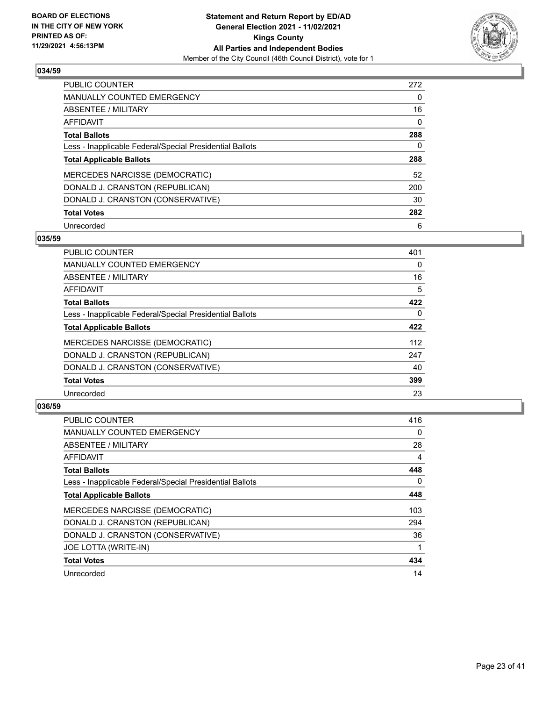

| <b>PUBLIC COUNTER</b>                                    | 272      |
|----------------------------------------------------------|----------|
| <b>MANUALLY COUNTED EMERGENCY</b>                        | $\Omega$ |
| ABSENTEE / MILITARY                                      | 16       |
| AFFIDAVIT                                                | $\Omega$ |
| <b>Total Ballots</b>                                     | 288      |
| Less - Inapplicable Federal/Special Presidential Ballots | 0        |
| <b>Total Applicable Ballots</b>                          | 288      |
| MERCEDES NARCISSE (DEMOCRATIC)                           | 52       |
| DONALD J. CRANSTON (REPUBLICAN)                          | 200      |
| DONALD J. CRANSTON (CONSERVATIVE)                        | 30       |
|                                                          |          |
| <b>Total Votes</b>                                       | 282      |

#### **035/59**

| <b>PUBLIC COUNTER</b>                                    | 401      |
|----------------------------------------------------------|----------|
| <b>MANUALLY COUNTED EMERGENCY</b>                        | $\Omega$ |
| ABSENTEE / MILITARY                                      | 16       |
| <b>AFFIDAVIT</b>                                         | 5        |
| <b>Total Ballots</b>                                     | 422      |
| Less - Inapplicable Federal/Special Presidential Ballots | $\Omega$ |
| <b>Total Applicable Ballots</b>                          | 422      |
| <b>MERCEDES NARCISSE (DEMOCRATIC)</b>                    | 112      |
| DONALD J. CRANSTON (REPUBLICAN)                          | 247      |
| DONALD J. CRANSTON (CONSERVATIVE)                        | 40       |
| <b>Total Votes</b>                                       | 399      |
| Unrecorded                                               | 23       |

| <b>PUBLIC COUNTER</b>                                    | 416 |
|----------------------------------------------------------|-----|
| MANUALLY COUNTED EMERGENCY                               | 0   |
| ABSENTEE / MILITARY                                      | 28  |
| AFFIDAVIT                                                | 4   |
| <b>Total Ballots</b>                                     | 448 |
| Less - Inapplicable Federal/Special Presidential Ballots | 0   |
| <b>Total Applicable Ballots</b>                          | 448 |
| MERCEDES NARCISSE (DEMOCRATIC)                           | 103 |
| DONALD J. CRANSTON (REPUBLICAN)                          | 294 |
| DONALD J. CRANSTON (CONSERVATIVE)                        | 36  |
| JOE LOTTA (WRITE-IN)                                     |     |
| <b>Total Votes</b>                                       | 434 |
| Unrecorded                                               | 14  |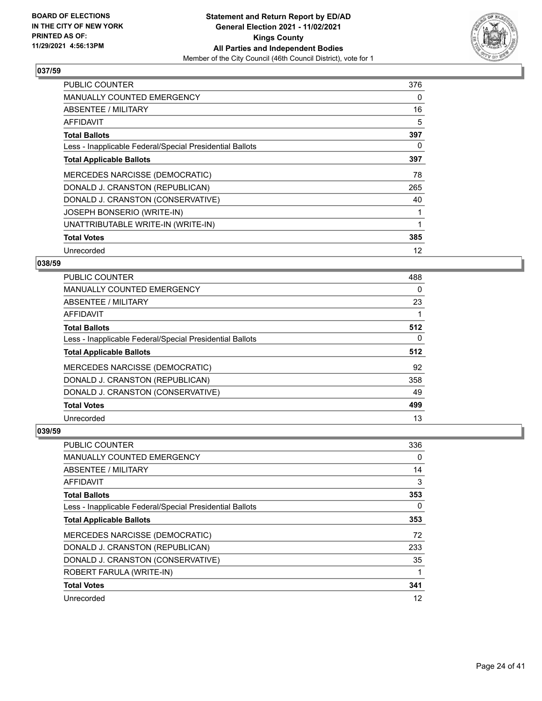

| <b>PUBLIC COUNTER</b>                                    | 376 |
|----------------------------------------------------------|-----|
| <b>MANUALLY COUNTED EMERGENCY</b>                        | 0   |
| <b>ABSENTEE / MILITARY</b>                               | 16  |
| AFFIDAVIT                                                | 5   |
| <b>Total Ballots</b>                                     | 397 |
| Less - Inapplicable Federal/Special Presidential Ballots | 0   |
| <b>Total Applicable Ballots</b>                          | 397 |
| <b>MERCEDES NARCISSE (DEMOCRATIC)</b>                    | 78  |
| DONALD J. CRANSTON (REPUBLICAN)                          | 265 |
| DONALD J. CRANSTON (CONSERVATIVE)                        | 40  |
| JOSEPH BONSERIO (WRITE-IN)                               |     |
| UNATTRIBUTABLE WRITE-IN (WRITE-IN)                       |     |
| <b>Total Votes</b>                                       | 385 |
| Unrecorded                                               | 12  |

## **038/59**

| <b>PUBLIC COUNTER</b>                                    | 488 |
|----------------------------------------------------------|-----|
| MANUALLY COUNTED EMERGENCY                               | 0   |
| ABSENTEE / MILITARY                                      | 23  |
| AFFIDAVIT                                                |     |
| <b>Total Ballots</b>                                     | 512 |
| Less - Inapplicable Federal/Special Presidential Ballots | 0   |
| <b>Total Applicable Ballots</b>                          | 512 |
| <b>MERCEDES NARCISSE (DEMOCRATIC)</b>                    | 92  |
| DONALD J. CRANSTON (REPUBLICAN)                          | 358 |
| DONALD J. CRANSTON (CONSERVATIVE)                        | 49  |
| <b>Total Votes</b>                                       | 499 |
| Unrecorded                                               | 13  |

| PUBLIC COUNTER                                           | 336 |
|----------------------------------------------------------|-----|
| <b>MANUALLY COUNTED EMERGENCY</b>                        | 0   |
| ABSENTEE / MILITARY                                      | 14  |
| AFFIDAVIT                                                | 3   |
| <b>Total Ballots</b>                                     | 353 |
| Less - Inapplicable Federal/Special Presidential Ballots | 0   |
| <b>Total Applicable Ballots</b>                          | 353 |
| MERCEDES NARCISSE (DEMOCRATIC)                           | 72  |
| DONALD J. CRANSTON (REPUBLICAN)                          | 233 |
| DONALD J. CRANSTON (CONSERVATIVE)                        | 35  |
| ROBERT FARULA (WRITE-IN)                                 | 1   |
| <b>Total Votes</b>                                       | 341 |
| Unrecorded                                               | 12  |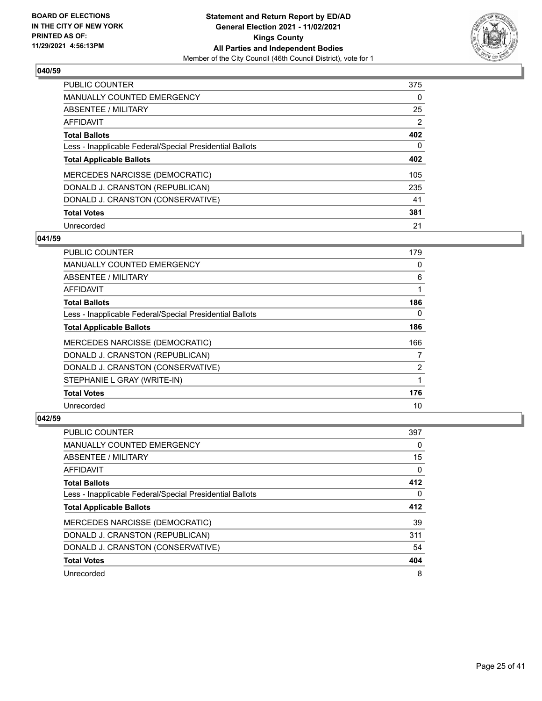

| <b>PUBLIC COUNTER</b>                                    | 375            |
|----------------------------------------------------------|----------------|
| <b>MANUALLY COUNTED EMERGENCY</b>                        | $\Omega$       |
| ABSENTEE / MILITARY                                      | 25             |
| AFFIDAVIT                                                | $\overline{2}$ |
| <b>Total Ballots</b>                                     | 402            |
| Less - Inapplicable Federal/Special Presidential Ballots | 0              |
| <b>Total Applicable Ballots</b>                          | 402            |
| MERCEDES NARCISSE (DEMOCRATIC)                           | 105            |
| DONALD J. CRANSTON (REPUBLICAN)                          | 235            |
| DONALD J. CRANSTON (CONSERVATIVE)                        | 41             |
| <b>Total Votes</b>                                       | 381            |
| Unrecorded                                               | 21             |

#### **041/59**

| PUBLIC COUNTER                                           | 179 |
|----------------------------------------------------------|-----|
| <b>MANUALLY COUNTED EMERGENCY</b>                        | 0   |
| ABSENTEE / MILITARY                                      | 6   |
| AFFIDAVIT                                                |     |
| <b>Total Ballots</b>                                     | 186 |
| Less - Inapplicable Federal/Special Presidential Ballots | 0   |
| <b>Total Applicable Ballots</b>                          | 186 |
| MERCEDES NARCISSE (DEMOCRATIC)                           | 166 |
| DONALD J. CRANSTON (REPUBLICAN)                          | 7   |
| DONALD J. CRANSTON (CONSERVATIVE)                        | 2   |
| STEPHANIE L GRAY (WRITE-IN)                              | 1   |
| <b>Total Votes</b>                                       | 176 |
| Unrecorded                                               | 10  |

| PUBLIC COUNTER                                           | 397 |
|----------------------------------------------------------|-----|
| <b>MANUALLY COUNTED EMERGENCY</b>                        | 0   |
| ABSENTEE / MILITARY                                      | 15  |
| AFFIDAVIT                                                | 0   |
| <b>Total Ballots</b>                                     | 412 |
| Less - Inapplicable Federal/Special Presidential Ballots | 0   |
| <b>Total Applicable Ballots</b>                          | 412 |
|                                                          |     |
| MERCEDES NARCISSE (DEMOCRATIC)                           | 39  |
| DONALD J. CRANSTON (REPUBLICAN)                          | 311 |
| DONALD J. CRANSTON (CONSERVATIVE)                        | 54  |
| <b>Total Votes</b>                                       | 404 |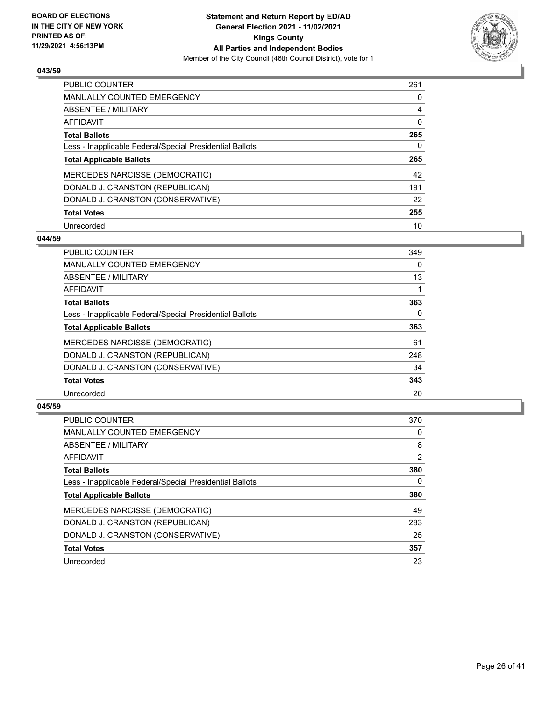

| <b>PUBLIC COUNTER</b>                                    | 261      |
|----------------------------------------------------------|----------|
| <b>MANUALLY COUNTED EMERGENCY</b>                        | 0        |
| ABSENTEE / MILITARY                                      | 4        |
| AFFIDAVIT                                                | $\Omega$ |
| <b>Total Ballots</b>                                     | 265      |
| Less - Inapplicable Federal/Special Presidential Ballots | 0        |
| <b>Total Applicable Ballots</b>                          | 265      |
|                                                          |          |
| MERCEDES NARCISSE (DEMOCRATIC)                           | 42       |
| DONALD J. CRANSTON (REPUBLICAN)                          | 191      |
| DONALD J. CRANSTON (CONSERVATIVE)                        | 22       |
| <b>Total Votes</b>                                       | 255      |

#### **044/59**

| <b>PUBLIC COUNTER</b>                                    | 349      |
|----------------------------------------------------------|----------|
| <b>MANUALLY COUNTED EMERGENCY</b>                        | $\Omega$ |
| ABSENTEE / MILITARY                                      | 13       |
| <b>AFFIDAVIT</b>                                         |          |
| <b>Total Ballots</b>                                     | 363      |
| Less - Inapplicable Federal/Special Presidential Ballots | $\Omega$ |
| <b>Total Applicable Ballots</b>                          | 363      |
| <b>MERCEDES NARCISSE (DEMOCRATIC)</b>                    | 61       |
| DONALD J. CRANSTON (REPUBLICAN)                          | 248      |
| DONALD J. CRANSTON (CONSERVATIVE)                        | 34       |
| <b>Total Votes</b>                                       | 343      |
| Unrecorded                                               | 20       |

| <b>PUBLIC COUNTER</b>                                    | 370            |
|----------------------------------------------------------|----------------|
| <b>MANUALLY COUNTED EMERGENCY</b>                        | $\Omega$       |
| ABSENTEE / MILITARY                                      | 8              |
| AFFIDAVIT                                                | $\overline{2}$ |
| <b>Total Ballots</b>                                     | 380            |
| Less - Inapplicable Federal/Special Presidential Ballots | 0              |
| <b>Total Applicable Ballots</b>                          | 380            |
| MERCEDES NARCISSE (DEMOCRATIC)                           | 49             |
| DONALD J. CRANSTON (REPUBLICAN)                          | 283            |
| DONALD J. CRANSTON (CONSERVATIVE)                        | 25             |
| <b>Total Votes</b>                                       | 357            |
| Unrecorded                                               | 23             |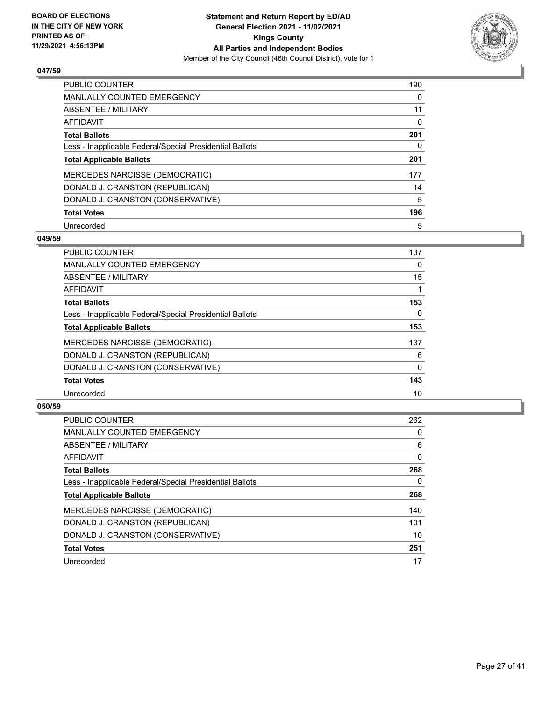

| <b>PUBLIC COUNTER</b>                                    | 190      |
|----------------------------------------------------------|----------|
| <b>MANUALLY COUNTED EMERGENCY</b>                        | $\Omega$ |
| ABSENTEE / MILITARY                                      | 11       |
| <b>AFFIDAVIT</b>                                         | 0        |
| <b>Total Ballots</b>                                     | 201      |
| Less - Inapplicable Federal/Special Presidential Ballots | 0        |
| <b>Total Applicable Ballots</b>                          | 201      |
| MERCEDES NARCISSE (DEMOCRATIC)                           | 177      |
| DONALD J. CRANSTON (REPUBLICAN)                          | 14       |
| DONALD J. CRANSTON (CONSERVATIVE)                        | 5        |
| <b>Total Votes</b>                                       | 196      |
| Unrecorded                                               | 5        |

#### **049/59**

| <b>PUBLIC COUNTER</b>                                    | 137          |
|----------------------------------------------------------|--------------|
| <b>MANUALLY COUNTED EMERGENCY</b>                        | $\Omega$     |
| ABSENTEE / MILITARY                                      | 15           |
| <b>AFFIDAVIT</b>                                         |              |
| <b>Total Ballots</b>                                     | 153          |
| Less - Inapplicable Federal/Special Presidential Ballots | $\Omega$     |
| <b>Total Applicable Ballots</b>                          | 153          |
| MERCEDES NARCISSE (DEMOCRATIC)                           | 137          |
| DONALD J. CRANSTON (REPUBLICAN)                          | 6            |
| DONALD J. CRANSTON (CONSERVATIVE)                        | $\mathbf{0}$ |
| <b>Total Votes</b>                                       | 143          |
| Unrecorded                                               | 10           |

| PUBLIC COUNTER                                           | 262      |
|----------------------------------------------------------|----------|
| <b>MANUALLY COUNTED EMERGENCY</b>                        | 0        |
| ABSENTEE / MILITARY                                      | 6        |
| AFFIDAVIT                                                | $\Omega$ |
| <b>Total Ballots</b>                                     | 268      |
| Less - Inapplicable Federal/Special Presidential Ballots | 0        |
| <b>Total Applicable Ballots</b>                          | 268      |
| MERCEDES NARCISSE (DEMOCRATIC)                           | 140      |
| DONALD J. CRANSTON (REPUBLICAN)                          | 101      |
| DONALD J. CRANSTON (CONSERVATIVE)                        | 10       |
| <b>Total Votes</b>                                       | 251      |
| Unrecorded                                               | 17       |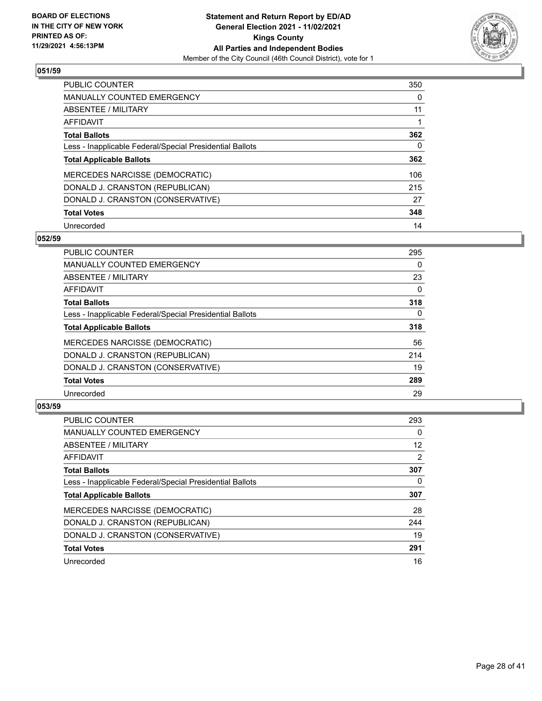

| <b>PUBLIC COUNTER</b>                                    | 350      |
|----------------------------------------------------------|----------|
| <b>MANUALLY COUNTED EMERGENCY</b>                        | $\Omega$ |
| ABSENTEE / MILITARY                                      | 11       |
| AFFIDAVIT                                                |          |
| <b>Total Ballots</b>                                     | 362      |
| Less - Inapplicable Federal/Special Presidential Ballots | 0        |
| <b>Total Applicable Ballots</b>                          | 362      |
| MERCEDES NARCISSE (DEMOCRATIC)                           | 106      |
| DONALD J. CRANSTON (REPUBLICAN)                          | 215      |
| DONALD J. CRANSTON (CONSERVATIVE)                        | 27       |
| <b>Total Votes</b>                                       | 348      |
| Unrecorded                                               | 14       |

#### **052/59**

| <b>PUBLIC COUNTER</b>                                    | 295      |
|----------------------------------------------------------|----------|
| <b>MANUALLY COUNTED EMERGENCY</b>                        | 0        |
| ABSENTEE / MILITARY                                      | 23       |
| <b>AFFIDAVIT</b>                                         | $\Omega$ |
| <b>Total Ballots</b>                                     | 318      |
| Less - Inapplicable Federal/Special Presidential Ballots | $\Omega$ |
| <b>Total Applicable Ballots</b>                          | 318      |
| MERCEDES NARCISSE (DEMOCRATIC)                           | 56       |
| DONALD J. CRANSTON (REPUBLICAN)                          | 214      |
| DONALD J. CRANSTON (CONSERVATIVE)                        | 19       |
| <b>Total Votes</b>                                       | 289      |
| Unrecorded                                               | 29       |

| <b>PUBLIC COUNTER</b>                                    | 293            |
|----------------------------------------------------------|----------------|
| <b>MANUALLY COUNTED EMERGENCY</b>                        | 0              |
| ABSENTEE / MILITARY                                      | 12             |
| AFFIDAVIT                                                | $\overline{2}$ |
| <b>Total Ballots</b>                                     | 307            |
| Less - Inapplicable Federal/Special Presidential Ballots | 0              |
| <b>Total Applicable Ballots</b>                          | 307            |
| MERCEDES NARCISSE (DEMOCRATIC)                           | 28             |
| DONALD J. CRANSTON (REPUBLICAN)                          | 244            |
| DONALD J. CRANSTON (CONSERVATIVE)                        | 19             |
| <b>Total Votes</b>                                       | 291            |
| Unrecorded                                               | 16             |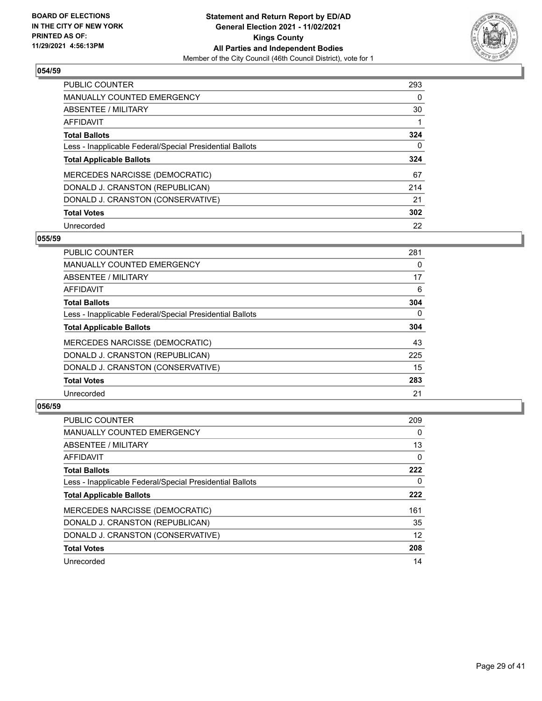

| <b>PUBLIC COUNTER</b>                                    | 293      |
|----------------------------------------------------------|----------|
| <b>MANUALLY COUNTED EMERGENCY</b>                        | $\Omega$ |
| ABSENTEE / MILITARY                                      | 30       |
| AFFIDAVIT                                                |          |
| <b>Total Ballots</b>                                     | 324      |
| Less - Inapplicable Federal/Special Presidential Ballots | 0        |
| <b>Total Applicable Ballots</b>                          | 324      |
| MERCEDES NARCISSE (DEMOCRATIC)                           | 67       |
| DONALD J. CRANSTON (REPUBLICAN)                          | 214      |
| DONALD J. CRANSTON (CONSERVATIVE)                        | 21       |
| <b>Total Votes</b>                                       | 302      |
| Unrecorded                                               | 22       |

#### **055/59**

| <b>PUBLIC COUNTER</b>                                    | 281      |
|----------------------------------------------------------|----------|
| <b>MANUALLY COUNTED EMERGENCY</b>                        | 0        |
| ABSENTEE / MILITARY                                      | 17       |
| <b>AFFIDAVIT</b>                                         | 6        |
| <b>Total Ballots</b>                                     | 304      |
| Less - Inapplicable Federal/Special Presidential Ballots | $\Omega$ |
| <b>Total Applicable Ballots</b>                          | 304      |
| MERCEDES NARCISSE (DEMOCRATIC)                           | 43       |
| DONALD J. CRANSTON (REPUBLICAN)                          | 225      |
| DONALD J. CRANSTON (CONSERVATIVE)                        | 15       |
| <b>Total Votes</b>                                       | 283      |
| Unrecorded                                               | 21       |

| <b>PUBLIC COUNTER</b>                                    | 209      |
|----------------------------------------------------------|----------|
| <b>MANUALLY COUNTED EMERGENCY</b>                        | $\Omega$ |
| ABSENTEE / MILITARY                                      | 13       |
| AFFIDAVIT                                                | $\Omega$ |
| <b>Total Ballots</b>                                     | 222      |
| Less - Inapplicable Federal/Special Presidential Ballots | 0        |
| <b>Total Applicable Ballots</b>                          | 222      |
| MERCEDES NARCISSE (DEMOCRATIC)                           | 161      |
| DONALD J. CRANSTON (REPUBLICAN)                          | 35       |
| DONALD J. CRANSTON (CONSERVATIVE)                        | 12       |
| <b>Total Votes</b>                                       | 208      |
| Unrecorded                                               | 14       |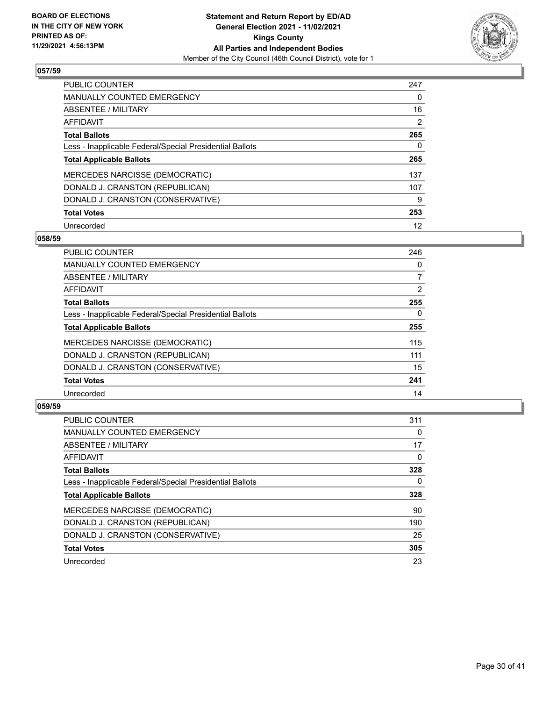

| <b>PUBLIC COUNTER</b>                                    | 247      |
|----------------------------------------------------------|----------|
| <b>MANUALLY COUNTED EMERGENCY</b>                        | $\Omega$ |
| ABSENTEE / MILITARY                                      | 16       |
| AFFIDAVIT                                                | 2        |
| <b>Total Ballots</b>                                     | 265      |
| Less - Inapplicable Federal/Special Presidential Ballots | 0        |
| <b>Total Applicable Ballots</b>                          | 265      |
| MERCEDES NARCISSE (DEMOCRATIC)                           | 137      |
| DONALD J. CRANSTON (REPUBLICAN)                          | 107      |
| DONALD J. CRANSTON (CONSERVATIVE)                        | 9        |
| <b>Total Votes</b>                                       | 253      |
| Unrecorded                                               | 12       |

#### **058/59**

| <b>PUBLIC COUNTER</b>                                    | 246            |
|----------------------------------------------------------|----------------|
| MANUALLY COUNTED EMERGENCY                               | 0              |
| ABSENTEE / MILITARY                                      | 7              |
| <b>AFFIDAVIT</b>                                         | $\overline{2}$ |
| <b>Total Ballots</b>                                     | 255            |
| Less - Inapplicable Federal/Special Presidential Ballots | 0              |
| <b>Total Applicable Ballots</b>                          | 255            |
| MERCEDES NARCISSE (DEMOCRATIC)                           | 115            |
| DONALD J. CRANSTON (REPUBLICAN)                          | 111            |
| DONALD J. CRANSTON (CONSERVATIVE)                        | 15             |
| <b>Total Votes</b>                                       | 241            |
| Unrecorded                                               | 14             |

| <b>PUBLIC COUNTER</b>                                    | 311      |
|----------------------------------------------------------|----------|
| <b>MANUALLY COUNTED EMERGENCY</b>                        | 0        |
| ABSENTEE / MILITARY                                      | 17       |
| AFFIDAVIT                                                | $\Omega$ |
| <b>Total Ballots</b>                                     | 328      |
| Less - Inapplicable Federal/Special Presidential Ballots | 0        |
| <b>Total Applicable Ballots</b>                          | 328      |
| MERCEDES NARCISSE (DEMOCRATIC)                           | 90       |
| DONALD J. CRANSTON (REPUBLICAN)                          | 190      |
| DONALD J. CRANSTON (CONSERVATIVE)                        | 25       |
| <b>Total Votes</b>                                       | 305      |
| Unrecorded                                               | 23       |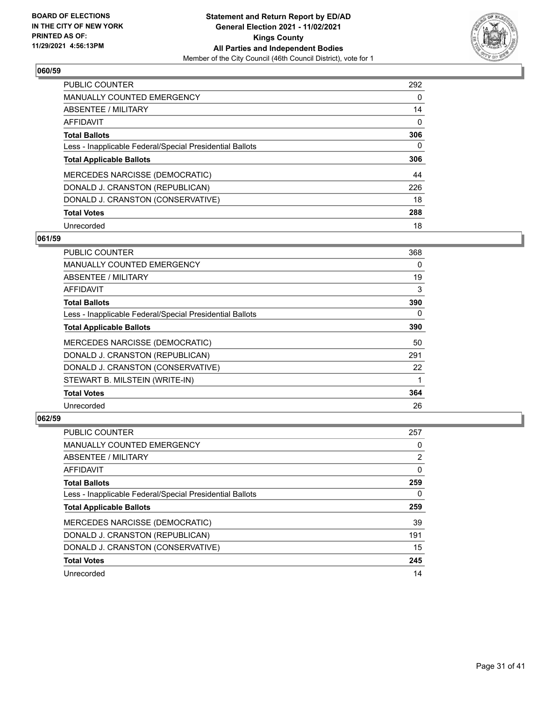

| <b>PUBLIC COUNTER</b>                                    | 292      |
|----------------------------------------------------------|----------|
| <b>MANUALLY COUNTED EMERGENCY</b>                        | $\Omega$ |
| ABSENTEE / MILITARY                                      | 14       |
| <b>AFFIDAVIT</b>                                         | $\Omega$ |
| <b>Total Ballots</b>                                     | 306      |
| Less - Inapplicable Federal/Special Presidential Ballots | 0        |
| <b>Total Applicable Ballots</b>                          | 306      |
| MERCEDES NARCISSE (DEMOCRATIC)                           | 44       |
| DONALD J. CRANSTON (REPUBLICAN)                          | 226      |
| DONALD J. CRANSTON (CONSERVATIVE)                        | 18       |
|                                                          |          |
| <b>Total Votes</b>                                       | 288      |

#### **061/59**

| <b>PUBLIC COUNTER</b>                                    | 368 |
|----------------------------------------------------------|-----|
| <b>MANUALLY COUNTED EMERGENCY</b>                        | 0   |
| ABSENTEE / MILITARY                                      | 19  |
| AFFIDAVIT                                                | 3   |
| <b>Total Ballots</b>                                     | 390 |
| Less - Inapplicable Federal/Special Presidential Ballots | 0   |
| <b>Total Applicable Ballots</b>                          | 390 |
| MERCEDES NARCISSE (DEMOCRATIC)                           | 50  |
| DONALD J. CRANSTON (REPUBLICAN)                          | 291 |
| DONALD J. CRANSTON (CONSERVATIVE)                        | 22  |
| STEWART B. MILSTEIN (WRITE-IN)                           |     |
| <b>Total Votes</b>                                       | 364 |
| Unrecorded                                               | 26  |

| PUBLIC COUNTER                                           | 257 |
|----------------------------------------------------------|-----|
| <b>MANUALLY COUNTED EMERGENCY</b>                        | 0   |
| ABSENTEE / MILITARY                                      | 2   |
| AFFIDAVIT                                                | 0   |
| <b>Total Ballots</b>                                     | 259 |
| Less - Inapplicable Federal/Special Presidential Ballots | 0   |
| <b>Total Applicable Ballots</b>                          | 259 |
| MERCEDES NARCISSE (DEMOCRATIC)                           | 39  |
| DONALD J. CRANSTON (REPUBLICAN)                          | 191 |
|                                                          |     |
| DONALD J. CRANSTON (CONSERVATIVE)                        | 15  |
| <b>Total Votes</b>                                       | 245 |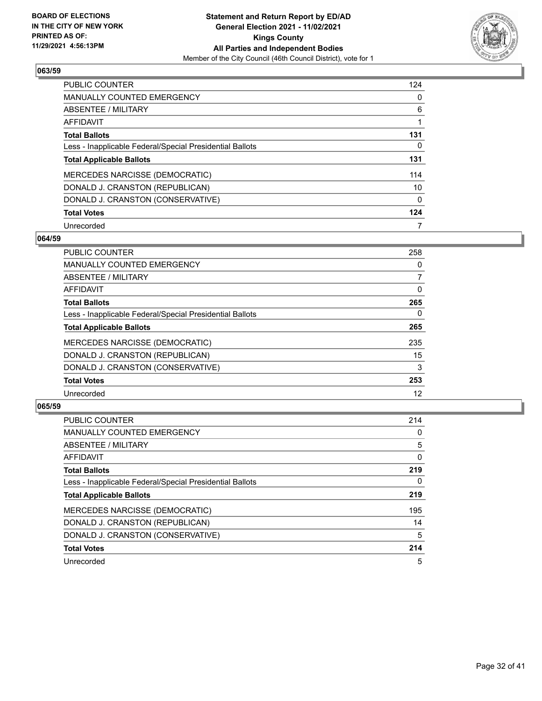

| <b>PUBLIC COUNTER</b>                                    | 124      |
|----------------------------------------------------------|----------|
| <b>MANUALLY COUNTED EMERGENCY</b>                        | $\Omega$ |
| ABSENTEE / MILITARY                                      | 6        |
| <b>AFFIDAVIT</b>                                         |          |
| <b>Total Ballots</b>                                     | 131      |
| Less - Inapplicable Federal/Special Presidential Ballots | 0        |
| <b>Total Applicable Ballots</b>                          | 131      |
| <b>MERCEDES NARCISSE (DEMOCRATIC)</b>                    | 114      |
| DONALD J. CRANSTON (REPUBLICAN)                          | 10       |
| DONALD J. CRANSTON (CONSERVATIVE)                        | $\Omega$ |
| <b>Total Votes</b>                                       | 124      |
| Unrecorded                                               |          |

#### **064/59**

| <b>PUBLIC COUNTER</b>                                    | 258      |
|----------------------------------------------------------|----------|
| <b>MANUALLY COUNTED EMERGENCY</b>                        | 0        |
| ABSENTEE / MILITARY                                      | 7        |
| <b>AFFIDAVIT</b>                                         | $\Omega$ |
| <b>Total Ballots</b>                                     | 265      |
| Less - Inapplicable Federal/Special Presidential Ballots | 0        |
| <b>Total Applicable Ballots</b>                          | 265      |
| MERCEDES NARCISSE (DEMOCRATIC)                           | 235      |
| DONALD J. CRANSTON (REPUBLICAN)                          | 15       |
| DONALD J. CRANSTON (CONSERVATIVE)                        | 3        |
| <b>Total Votes</b>                                       | 253      |
| Unrecorded                                               | 12       |

| <b>PUBLIC COUNTER</b>                                    | 214      |
|----------------------------------------------------------|----------|
| <b>MANUALLY COUNTED EMERGENCY</b>                        | 0        |
| ABSENTEE / MILITARY                                      | 5        |
| AFFIDAVIT                                                | $\Omega$ |
| <b>Total Ballots</b>                                     | 219      |
| Less - Inapplicable Federal/Special Presidential Ballots | 0        |
| <b>Total Applicable Ballots</b>                          | 219      |
| MERCEDES NARCISSE (DEMOCRATIC)                           | 195      |
| DONALD J. CRANSTON (REPUBLICAN)                          | 14       |
| DONALD J. CRANSTON (CONSERVATIVE)                        | 5        |
| <b>Total Votes</b>                                       | 214      |
| Unrecorded                                               | 5        |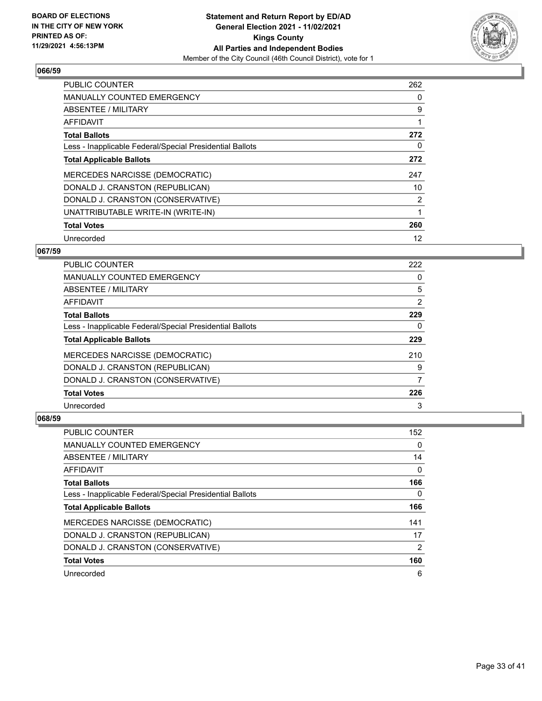

| <b>PUBLIC COUNTER</b>                                    | 262 |
|----------------------------------------------------------|-----|
| <b>MANUALLY COUNTED EMERGENCY</b>                        | 0   |
| ABSENTEE / MILITARY                                      | 9   |
| <b>AFFIDAVIT</b>                                         | 1   |
| <b>Total Ballots</b>                                     | 272 |
| Less - Inapplicable Federal/Special Presidential Ballots | 0   |
| <b>Total Applicable Ballots</b>                          | 272 |
| MERCEDES NARCISSE (DEMOCRATIC)                           | 247 |
| DONALD J. CRANSTON (REPUBLICAN)                          | 10  |
| DONALD J. CRANSTON (CONSERVATIVE)                        | 2   |
| UNATTRIBUTABLE WRITE-IN (WRITE-IN)                       | 1   |
| <b>Total Votes</b>                                       | 260 |
| Unrecorded                                               | 12  |

## **067/59**

| <b>PUBLIC COUNTER</b>                                    | 222 |
|----------------------------------------------------------|-----|
| MANUALLY COUNTED EMERGENCY                               | 0   |
| ABSENTEE / MILITARY                                      | 5   |
| AFFIDAVIT                                                | 2   |
| <b>Total Ballots</b>                                     | 229 |
| Less - Inapplicable Federal/Special Presidential Ballots | 0   |
| <b>Total Applicable Ballots</b>                          | 229 |
| <b>MERCEDES NARCISSE (DEMOCRATIC)</b>                    | 210 |
| DONALD J. CRANSTON (REPUBLICAN)                          | 9   |
| DONALD J. CRANSTON (CONSERVATIVE)                        | 7   |
| <b>Total Votes</b>                                       | 226 |
| Unrecorded                                               | 3   |

| <b>PUBLIC COUNTER</b>                                    | 152 |
|----------------------------------------------------------|-----|
| <b>MANUALLY COUNTED EMERGENCY</b>                        | 0   |
| ABSENTEE / MILITARY                                      | 14  |
| AFFIDAVIT                                                | 0   |
| <b>Total Ballots</b>                                     | 166 |
| Less - Inapplicable Federal/Special Presidential Ballots | 0   |
| <b>Total Applicable Ballots</b>                          | 166 |
| <b>MERCEDES NARCISSE (DEMOCRATIC)</b>                    | 141 |
| DONALD J. CRANSTON (REPUBLICAN)                          | 17  |
| DONALD J. CRANSTON (CONSERVATIVE)                        | 2   |
| <b>Total Votes</b>                                       | 160 |
| Unrecorded                                               | 6   |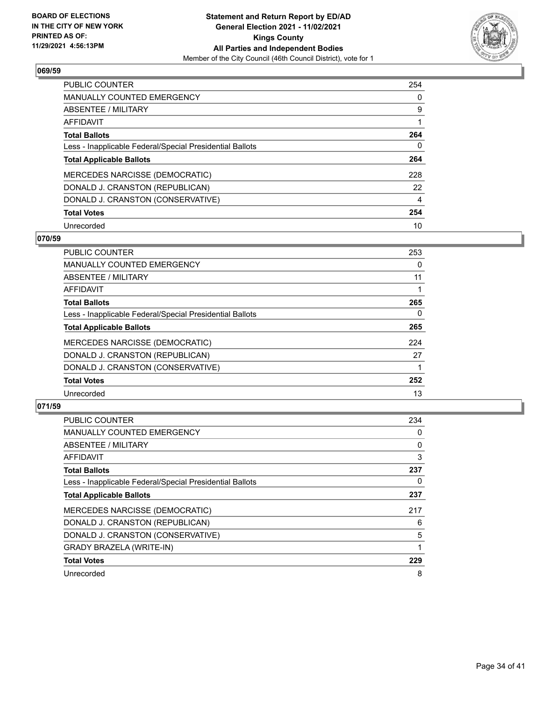

| <b>PUBLIC COUNTER</b>                                    | 254      |
|----------------------------------------------------------|----------|
| <b>MANUALLY COUNTED EMERGENCY</b>                        | $\Omega$ |
| ABSENTEE / MILITARY                                      | 9        |
| <b>AFFIDAVIT</b>                                         |          |
| <b>Total Ballots</b>                                     | 264      |
| Less - Inapplicable Federal/Special Presidential Ballots | 0        |
| <b>Total Applicable Ballots</b>                          | 264      |
| MERCEDES NARCISSE (DEMOCRATIC)                           | 228      |
| DONALD J. CRANSTON (REPUBLICAN)                          | 22       |
| DONALD J. CRANSTON (CONSERVATIVE)                        | 4        |
| <b>Total Votes</b>                                       | 254      |
| Unrecorded                                               | 10       |

#### **070/59**

| <b>PUBLIC COUNTER</b>                                    | 253      |
|----------------------------------------------------------|----------|
| <b>MANUALLY COUNTED EMERGENCY</b>                        | 0        |
| ABSENTEE / MILITARY                                      | 11       |
| <b>AFFIDAVIT</b>                                         |          |
| <b>Total Ballots</b>                                     | 265      |
| Less - Inapplicable Federal/Special Presidential Ballots | $\Omega$ |
| <b>Total Applicable Ballots</b>                          | 265      |
| <b>MERCEDES NARCISSE (DEMOCRATIC)</b>                    | 224      |
| DONALD J. CRANSTON (REPUBLICAN)                          | 27       |
| DONALD J. CRANSTON (CONSERVATIVE)                        |          |
| <b>Total Votes</b>                                       | 252      |
| Unrecorded                                               | 13       |

| <b>PUBLIC COUNTER</b>                                    | 234 |
|----------------------------------------------------------|-----|
| MANUALLY COUNTED EMERGENCY                               | 0   |
| ABSENTEE / MILITARY                                      | 0   |
| AFFIDAVIT                                                | 3   |
| <b>Total Ballots</b>                                     | 237 |
| Less - Inapplicable Federal/Special Presidential Ballots | 0   |
| <b>Total Applicable Ballots</b>                          | 237 |
| MERCEDES NARCISSE (DEMOCRATIC)                           | 217 |
| DONALD J. CRANSTON (REPUBLICAN)                          | 6   |
| DONALD J. CRANSTON (CONSERVATIVE)                        | 5   |
| <b>GRADY BRAZELA (WRITE-IN)</b>                          |     |
| <b>Total Votes</b>                                       | 229 |
| Unrecorded                                               | 8   |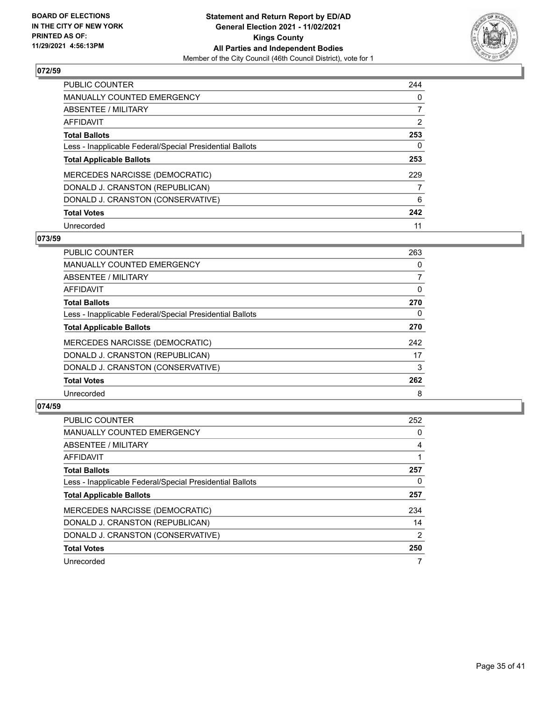

| <b>PUBLIC COUNTER</b>                                    | 244      |
|----------------------------------------------------------|----------|
| <b>MANUALLY COUNTED EMERGENCY</b>                        | $\Omega$ |
| ABSENTEE / MILITARY                                      |          |
| <b>AFFIDAVIT</b>                                         | 2        |
| <b>Total Ballots</b>                                     | 253      |
| Less - Inapplicable Federal/Special Presidential Ballots | 0        |
| <b>Total Applicable Ballots</b>                          | 253      |
| MERCEDES NARCISSE (DEMOCRATIC)                           | 229      |
| DONALD J. CRANSTON (REPUBLICAN)                          |          |
| DONALD J. CRANSTON (CONSERVATIVE)                        | 6        |
| <b>Total Votes</b>                                       | 242      |
| Unrecorded                                               | 11       |

#### **073/59**

| <b>PUBLIC COUNTER</b>                                    | 263      |
|----------------------------------------------------------|----------|
| <b>MANUALLY COUNTED EMERGENCY</b>                        | 0        |
| ABSENTEE / MILITARY                                      | 7        |
| <b>AFFIDAVIT</b>                                         | $\Omega$ |
| <b>Total Ballots</b>                                     | 270      |
| Less - Inapplicable Federal/Special Presidential Ballots | 0        |
| <b>Total Applicable Ballots</b>                          | 270      |
| MERCEDES NARCISSE (DEMOCRATIC)                           | 242      |
| DONALD J. CRANSTON (REPUBLICAN)                          | 17       |
| DONALD J. CRANSTON (CONSERVATIVE)                        | 3        |
| <b>Total Votes</b>                                       | 262      |
| Unrecorded                                               | 8        |

| <b>PUBLIC COUNTER</b>                                    | 252           |
|----------------------------------------------------------|---------------|
| <b>MANUALLY COUNTED EMERGENCY</b>                        | 0             |
| ABSENTEE / MILITARY                                      | 4             |
| AFFIDAVIT                                                |               |
| <b>Total Ballots</b>                                     | 257           |
| Less - Inapplicable Federal/Special Presidential Ballots | 0             |
| <b>Total Applicable Ballots</b>                          | 257           |
| MERCEDES NARCISSE (DEMOCRATIC)                           | 234           |
| DONALD J. CRANSTON (REPUBLICAN)                          | 14            |
| DONALD J. CRANSTON (CONSERVATIVE)                        | $\mathcal{P}$ |
| <b>Total Votes</b>                                       | 250           |
| Unrecorded                                               |               |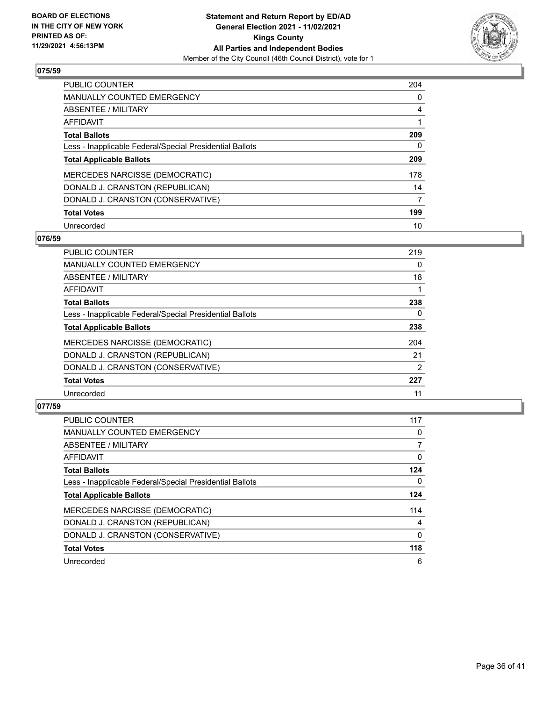

| <b>PUBLIC COUNTER</b>                                    | 204      |
|----------------------------------------------------------|----------|
| <b>MANUALLY COUNTED EMERGENCY</b>                        | $\Omega$ |
| ABSENTEE / MILITARY                                      | 4        |
| AFFIDAVIT                                                |          |
| <b>Total Ballots</b>                                     | 209      |
| Less - Inapplicable Federal/Special Presidential Ballots | 0        |
| <b>Total Applicable Ballots</b>                          | 209      |
| MERCEDES NARCISSE (DEMOCRATIC)                           | 178      |
| DONALD J. CRANSTON (REPUBLICAN)                          | 14       |
| DONALD J. CRANSTON (CONSERVATIVE)                        | 7        |
| <b>Total Votes</b>                                       | 199      |
| Unrecorded                                               | 10       |

# **076/59**

| <b>PUBLIC COUNTER</b>                                    | 219 |
|----------------------------------------------------------|-----|
| <b>MANUALLY COUNTED EMERGENCY</b>                        | 0   |
| ABSENTEE / MILITARY                                      | 18  |
| <b>AFFIDAVIT</b>                                         |     |
| <b>Total Ballots</b>                                     | 238 |
| Less - Inapplicable Federal/Special Presidential Ballots | 0   |
| <b>Total Applicable Ballots</b>                          | 238 |
| MERCEDES NARCISSE (DEMOCRATIC)                           | 204 |
| DONALD J. CRANSTON (REPUBLICAN)                          | 21  |
| DONALD J. CRANSTON (CONSERVATIVE)                        | 2   |
| <b>Total Votes</b>                                       | 227 |
| Unrecorded                                               | 11  |

| <b>PUBLIC COUNTER</b>                                    | 117      |
|----------------------------------------------------------|----------|
| <b>MANUALLY COUNTED EMERGENCY</b>                        | 0        |
| ABSENTEE / MILITARY                                      |          |
| <b>AFFIDAVIT</b>                                         | $\Omega$ |
| <b>Total Ballots</b>                                     | 124      |
| Less - Inapplicable Federal/Special Presidential Ballots | $\Omega$ |
| <b>Total Applicable Ballots</b>                          | 124      |
| <b>MERCEDES NARCISSE (DEMOCRATIC)</b>                    | 114      |
| DONALD J. CRANSTON (REPUBLICAN)                          | 4        |
| DONALD J. CRANSTON (CONSERVATIVE)                        | $\Omega$ |
| <b>Total Votes</b>                                       | 118      |
| Unrecorded                                               | 6        |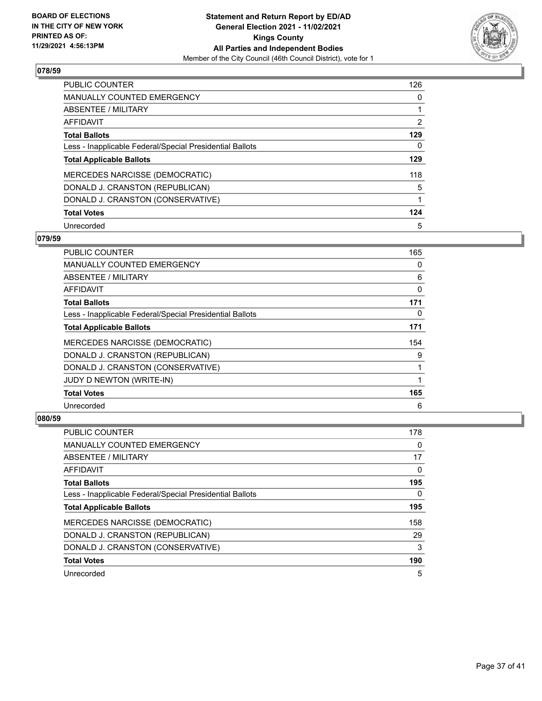

| <b>PUBLIC COUNTER</b>                                    | 126 |
|----------------------------------------------------------|-----|
| <b>MANUALLY COUNTED EMERGENCY</b>                        | 0   |
| ABSENTEE / MILITARY                                      |     |
| AFFIDAVIT                                                | 2   |
| <b>Total Ballots</b>                                     | 129 |
| Less - Inapplicable Federal/Special Presidential Ballots | 0   |
| <b>Total Applicable Ballots</b>                          | 129 |
| MERCEDES NARCISSE (DEMOCRATIC)                           | 118 |
| DONALD J. CRANSTON (REPUBLICAN)                          | 5   |
| DONALD J. CRANSTON (CONSERVATIVE)                        |     |
| <b>Total Votes</b>                                       | 124 |
| Unrecorded                                               | 5   |

#### **079/59**

| <b>PUBLIC COUNTER</b>                                    | 165      |
|----------------------------------------------------------|----------|
| <b>MANUALLY COUNTED EMERGENCY</b>                        | 0        |
| ABSENTEE / MILITARY                                      | 6        |
| AFFIDAVIT                                                | 0        |
| <b>Total Ballots</b>                                     | 171      |
| Less - Inapplicable Federal/Special Presidential Ballots | $\Omega$ |
| <b>Total Applicable Ballots</b>                          | 171      |
| MERCEDES NARCISSE (DEMOCRATIC)                           | 154      |
| DONALD J. CRANSTON (REPUBLICAN)                          | 9        |
| DONALD J. CRANSTON (CONSERVATIVE)                        |          |
| JUDY D NEWTON (WRITE-IN)                                 | 1        |
| <b>Total Votes</b>                                       | 165      |
| Unrecorded                                               | 6        |

| PUBLIC COUNTER                                           | 178 |
|----------------------------------------------------------|-----|
| <b>MANUALLY COUNTED EMERGENCY</b>                        | 0   |
| ABSENTEE / MILITARY                                      | 17  |
| AFFIDAVIT                                                | 0   |
| <b>Total Ballots</b>                                     | 195 |
| Less - Inapplicable Federal/Special Presidential Ballots | 0   |
| <b>Total Applicable Ballots</b>                          | 195 |
| MERCEDES NARCISSE (DEMOCRATIC)                           | 158 |
| DONALD J. CRANSTON (REPUBLICAN)                          | 29  |
| DONALD J. CRANSTON (CONSERVATIVE)                        | 3   |
| <b>Total Votes</b>                                       | 190 |
| Unrecorded                                               | 5   |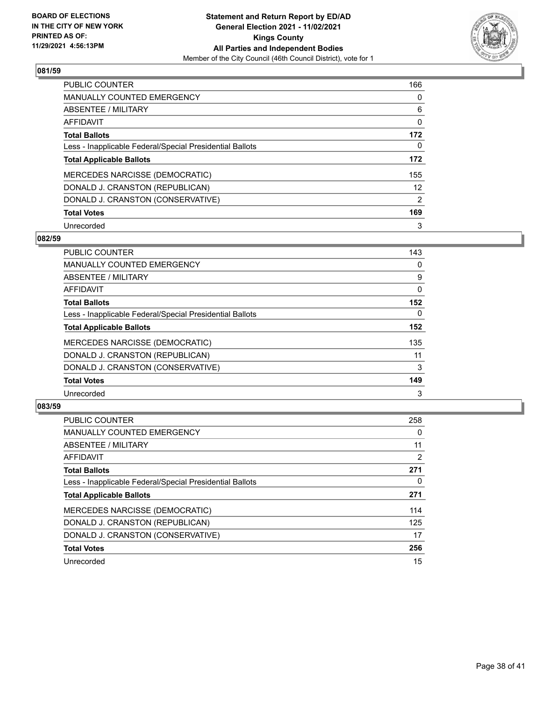

| <b>PUBLIC COUNTER</b>                                    | 166           |
|----------------------------------------------------------|---------------|
| <b>MANUALLY COUNTED EMERGENCY</b>                        | $\Omega$      |
| ABSENTEE / MILITARY                                      | 6             |
| <b>AFFIDAVIT</b>                                         | 0             |
| <b>Total Ballots</b>                                     | 172           |
| Less - Inapplicable Federal/Special Presidential Ballots | 0             |
| <b>Total Applicable Ballots</b>                          | 172           |
| MERCEDES NARCISSE (DEMOCRATIC)                           | 155           |
| DONALD J. CRANSTON (REPUBLICAN)                          | 12            |
| DONALD J. CRANSTON (CONSERVATIVE)                        | $\mathcal{P}$ |
| <b>Total Votes</b>                                       | 169           |
| Unrecorded                                               | 3             |

#### **082/59**

| <b>PUBLIC COUNTER</b>                                    | 143      |
|----------------------------------------------------------|----------|
| <b>MANUALLY COUNTED EMERGENCY</b>                        | 0        |
| ABSENTEE / MILITARY                                      | 9        |
| <b>AFFIDAVIT</b>                                         | 0        |
| <b>Total Ballots</b>                                     | 152      |
| Less - Inapplicable Federal/Special Presidential Ballots | $\Omega$ |
| <b>Total Applicable Ballots</b>                          | 152      |
| MERCEDES NARCISSE (DEMOCRATIC)                           | 135      |
| DONALD J. CRANSTON (REPUBLICAN)                          | 11       |
| DONALD J. CRANSTON (CONSERVATIVE)                        | 3        |
| <b>Total Votes</b>                                       | 149      |
| Unrecorded                                               | 3        |

| <b>PUBLIC COUNTER</b>                                    | 258 |
|----------------------------------------------------------|-----|
| <b>MANUALLY COUNTED EMERGENCY</b>                        | 0   |
| ABSENTEE / MILITARY                                      | 11  |
| <b>AFFIDAVIT</b>                                         | 2   |
| <b>Total Ballots</b>                                     | 271 |
| Less - Inapplicable Federal/Special Presidential Ballots | 0   |
| <b>Total Applicable Ballots</b>                          | 271 |
| <b>MERCEDES NARCISSE (DEMOCRATIC)</b>                    | 114 |
| DONALD J. CRANSTON (REPUBLICAN)                          | 125 |
| DONALD J. CRANSTON (CONSERVATIVE)                        | 17  |
| <b>Total Votes</b>                                       | 256 |
| Unrecorded                                               | 15  |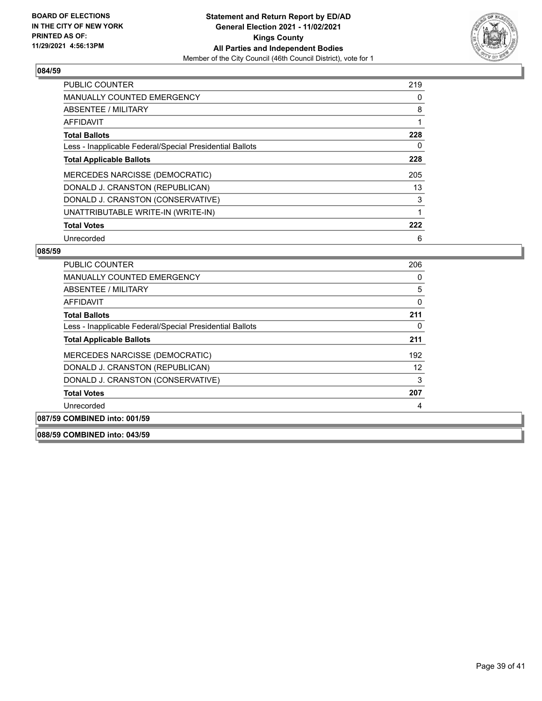

| <b>PUBLIC COUNTER</b>                                    | 219 |
|----------------------------------------------------------|-----|
| <b>MANUALLY COUNTED EMERGENCY</b>                        | 0   |
| ABSENTEE / MILITARY                                      | 8   |
| AFFIDAVIT                                                |     |
| <b>Total Ballots</b>                                     | 228 |
| Less - Inapplicable Federal/Special Presidential Ballots | 0   |
| <b>Total Applicable Ballots</b>                          | 228 |
| <b>MERCEDES NARCISSE (DEMOCRATIC)</b>                    | 205 |
| DONALD J. CRANSTON (REPUBLICAN)                          | 13  |
| DONALD J. CRANSTON (CONSERVATIVE)                        | 3   |
| UNATTRIBUTABLE WRITE-IN (WRITE-IN)                       |     |
| <b>Total Votes</b>                                       | 222 |
| Unrecorded                                               | 6   |

## **085/59**

| PUBLIC COUNTER                                           | 206      |
|----------------------------------------------------------|----------|
| <b>MANUALLY COUNTED EMERGENCY</b>                        | 0        |
| ABSENTEE / MILITARY                                      | 5        |
| AFFIDAVIT                                                | 0        |
| <b>Total Ballots</b>                                     | 211      |
| Less - Inapplicable Federal/Special Presidential Ballots | $\Omega$ |
| <b>Total Applicable Ballots</b>                          | 211      |
| MERCEDES NARCISSE (DEMOCRATIC)                           | 192      |
| DONALD J. CRANSTON (REPUBLICAN)                          | 12       |
| DONALD J. CRANSTON (CONSERVATIVE)                        | 3        |
| <b>Total Votes</b>                                       | 207      |
| Unrecorded                                               | 4        |
| 087/59 COMBINED into: 001/59                             |          |

# **088/59 COMBINED into: 043/59**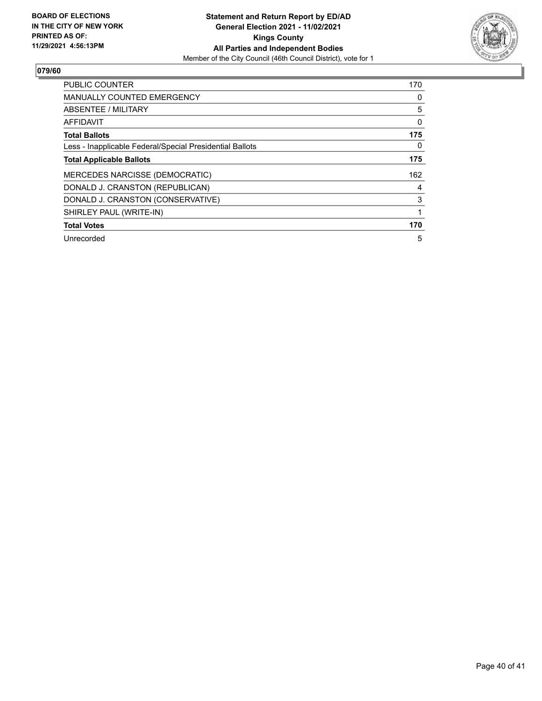

| <b>PUBLIC COUNTER</b>                                    | 170 |
|----------------------------------------------------------|-----|
| <b>MANUALLY COUNTED EMERGENCY</b>                        | 0   |
| <b>ABSENTEE / MILITARY</b>                               | 5   |
| AFFIDAVIT                                                | 0   |
| <b>Total Ballots</b>                                     | 175 |
| Less - Inapplicable Federal/Special Presidential Ballots | 0   |
| <b>Total Applicable Ballots</b>                          | 175 |
| <b>MERCEDES NARCISSE (DEMOCRATIC)</b>                    | 162 |
| DONALD J. CRANSTON (REPUBLICAN)                          | 4   |
| DONALD J. CRANSTON (CONSERVATIVE)                        | 3   |
| SHIRLEY PAUL (WRITE-IN)                                  | 1   |
| <b>Total Votes</b>                                       | 170 |
| Unrecorded                                               | 5   |